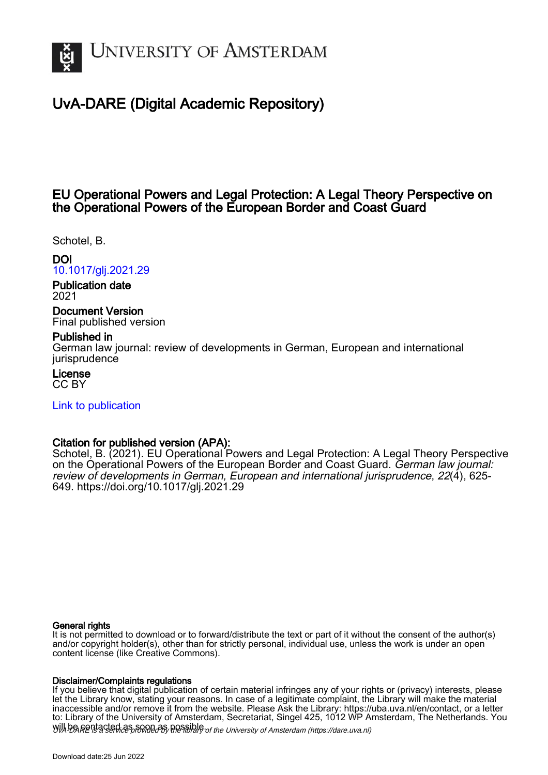

# UvA-DARE (Digital Academic Repository)

## EU Operational Powers and Legal Protection: A Legal Theory Perspective on the Operational Powers of the European Border and Coast Guard

Schotel, B.

## DOI

[10.1017/glj.2021.29](https://doi.org/10.1017/glj.2021.29)

Publication date 2021

Document Version Final published version

### Published in

German law journal: review of developments in German, European and international iurisprudence

License CC BY

[Link to publication](https://dare.uva.nl/personal/pure/en/publications/eu-operational-powers-and-legal-protection-a-legal-theory-perspective-on-the-operational-powers-of-the-european-border-and-coast-guard(47e4cd0d-5a59-4aca-98ad-d29184143305).html)

### Citation for published version (APA):

Schotel, B. (2021). EU Operational Powers and Legal Protection: A Legal Theory Perspective on the Operational Powers of the European Border and Coast Guard. German law journal: review of developments in German, European and international jurisprudence, 22(4), 625- 649. <https://doi.org/10.1017/glj.2021.29>

#### General rights

It is not permitted to download or to forward/distribute the text or part of it without the consent of the author(s) and/or copyright holder(s), other than for strictly personal, individual use, unless the work is under an open content license (like Creative Commons).

#### Disclaimer/Complaints regulations

Will be **Rentacted as solutions** the spilling of the University of Amsterdam (https://dare.uva.nl) If you believe that digital publication of certain material infringes any of your rights or (privacy) interests, please let the Library know, stating your reasons. In case of a legitimate complaint, the Library will make the material inaccessible and/or remove it from the website. Please Ask the Library: https://uba.uva.nl/en/contact, or a letter to: Library of the University of Amsterdam, Secretariat, Singel 425, 1012 WP Amsterdam, The Netherlands. You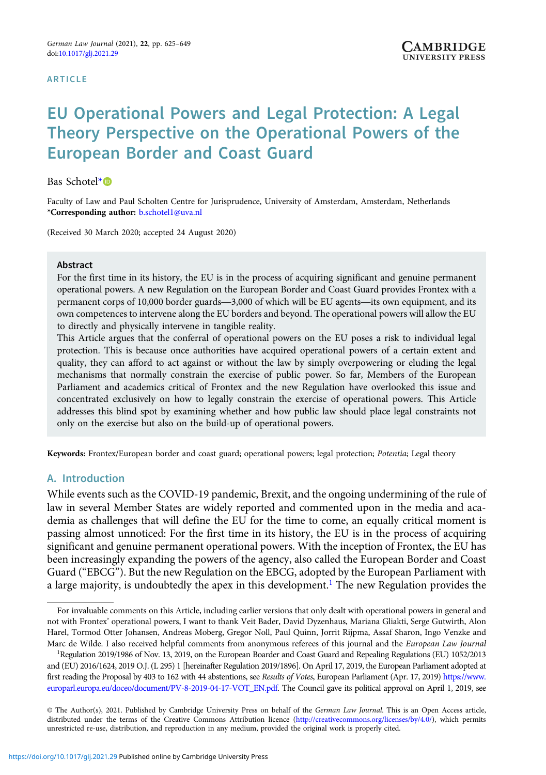#### ARTICLE

# EU Operational Powers and Legal Protection: A Legal Theory Perspective on the Operational Powers of the European Border and Coast Guard

Bas Schotel\*

Faculty of Law and Paul Scholten Centre for Jurisprudence, University of Amsterdam, Amsterdam, Netherlands \*Corresponding author: [b.schotel1@uva.nl](mailto:b.schotel1@uva.nl)

(Received 30 March 2020; accepted 24 August 2020)

#### Abstract

For the first time in its history, the EU is in the process of acquiring significant and genuine permanent operational powers. A new Regulation on the European Border and Coast Guard provides Frontex with a permanent corps of 10,000 border guards—3,000 of which will be EU agents—its own equipment, and its own competences to intervene along the EU borders and beyond. The operational powers will allow the EU to directly and physically intervene in tangible reality.

This Article argues that the conferral of operational powers on the EU poses a risk to individual legal protection. This is because once authorities have acquired operational powers of a certain extent and quality, they can afford to act against or without the law by simply overpowering or eluding the legal mechanisms that normally constrain the exercise of public power. So far, Members of the European Parliament and academics critical of Frontex and the new Regulation have overlooked this issue and concentrated exclusively on how to legally constrain the exercise of operational powers. This Article addresses this blind spot by examining whether and how public law should place legal constraints not only on the exercise but also on the build-up of operational powers.

Keywords: Frontex/European border and coast guard; operational powers; legal protection; Potentia; Legal theory

#### A. Introduction

While events such as the COVID-19 pandemic, Brexit, and the ongoing undermining of the rule of law in several Member States are widely reported and commented upon in the media and academia as challenges that will define the EU for the time to come, an equally critical moment is passing almost unnoticed: For the first time in its history, the EU is in the process of acquiring significant and genuine permanent operational powers. With the inception of Frontex, the EU has been increasingly expanding the powers of the agency, also called the European Border and Coast Guard ("EBCG"). But the new Regulation on the EBCG, adopted by the European Parliament with a large majority, is undoubtedly the apex in this development.<sup>1</sup> The new Regulation provides the

For invaluable comments on this Article, including earlier versions that only dealt with operational powers in general and not with Frontex' operational powers, I want to thank Veit Bader, David Dyzenhaus, Mariana Gliakti, Serge Gutwirth, Alon Harel, Tormod Otter Johansen, Andreas Moberg, Gregor Noll, Paul Quinn, Jorrit Rijpma, Assaf Sharon, Ingo Venzke and Marc de Wilde. I also received helpful comments from anonymous referees of this journal and the European Law Journal

<sup>&</sup>lt;sup>1</sup>Regulation 2019/1986 of Nov. 13, 2019, on the European Boarder and Coast Guard and Repealing Regulations (EU) 1052/2013 and (EU) 2016/1624, 2019 O.J. (L 295) 1 [hereinafter Regulation 2019/1896]. On April 17, 2019, the European Parliament adopted at first reading the Proposal by 403 to 162 with 44 abstentions, see Results of Votes, European Parliament (Apr. 17, 2019) [https://www.](https://www.europarl.europa.eu/doceo/document/PV-8-2019-04-17-VOT_EN.pdf) [europarl.europa.eu/doceo/document/PV-8-2019-04-17-VOT\\_EN.pdf.](https://www.europarl.europa.eu/doceo/document/PV-8-2019-04-17-VOT_EN.pdf) The Council gave its political approval on April 1, 2019, see

<sup>©</sup> The Author(s), 2021. Published by Cambridge University Press on behalf of the German Law Journal. This is an Open Access article, distributed under the terms of the Creative Commons Attribution licence [\(http://creativecommons.org/licenses/by/4.0/](http://creativecommons.org/licenses/by/4.0/)), which permits unrestricted re-use, distribution, and reproduction in any medium, provided the original work is properly cited.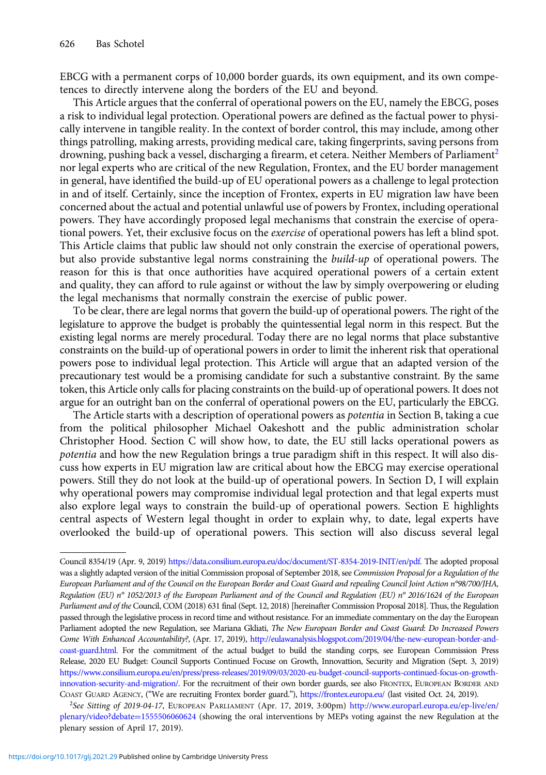EBCG with a permanent corps of 10,000 border guards, its own equipment, and its own competences to directly intervene along the borders of the EU and beyond.

This Article argues that the conferral of operational powers on the EU, namely the EBCG, poses a risk to individual legal protection. Operational powers are defined as the factual power to physically intervene in tangible reality. In the context of border control, this may include, among other things patrolling, making arrests, providing medical care, taking fingerprints, saving persons from drowning, pushing back a vessel, discharging a firearm, et cetera. Neither Members of Parliament<sup>2</sup> nor legal experts who are critical of the new Regulation, Frontex, and the EU border management in general, have identified the build-up of EU operational powers as a challenge to legal protection in and of itself. Certainly, since the inception of Frontex, experts in EU migration law have been concerned about the actual and potential unlawful use of powers by Frontex, including operational powers. They have accordingly proposed legal mechanisms that constrain the exercise of operational powers. Yet, their exclusive focus on the *exercise* of operational powers has left a blind spot. This Article claims that public law should not only constrain the exercise of operational powers, but also provide substantive legal norms constraining the *build-up* of operational powers. The reason for this is that once authorities have acquired operational powers of a certain extent and quality, they can afford to rule against or without the law by simply overpowering or eluding the legal mechanisms that normally constrain the exercise of public power.

To be clear, there are legal norms that govern the build-up of operational powers. The right of the legislature to approve the budget is probably the quintessential legal norm in this respect. But the existing legal norms are merely procedural. Today there are no legal norms that place substantive constraints on the build-up of operational powers in order to limit the inherent risk that operational powers pose to individual legal protection. This Article will argue that an adapted version of the precautionary test would be a promising candidate for such a substantive constraint. By the same token, this Article only calls for placing constraints on the build-up of operational powers. It does not argue for an outright ban on the conferral of operational powers on the EU, particularly the EBCG.

The Article starts with a description of operational powers as potentia in Section B, taking a cue from the political philosopher Michael Oakeshott and the public administration scholar Christopher Hood. Section C will show how, to date, the EU still lacks operational powers as potentia and how the new Regulation brings a true paradigm shift in this respect. It will also discuss how experts in EU migration law are critical about how the EBCG may exercise operational powers. Still they do not look at the build-up of operational powers. In Section D, I will explain why operational powers may compromise individual legal protection and that legal experts must also explore legal ways to constrain the build-up of operational powers. Section E highlights central aspects of Western legal thought in order to explain why, to date, legal experts have overlooked the build-up of operational powers. This section will also discuss several legal

<sup>2</sup>See Sitting of 2019-04-17, EUROPEAN PARLIAMENT (Apr. 17, 2019, 3:00pm) [http://www.europarl.europa.eu/ep-live/en/](http://www.europarl.europa.eu/ep-live/en/plenary/video?debate=1555506060624) [plenary/video?debate](http://www.europarl.europa.eu/ep-live/en/plenary/video?debate=1555506060624)=[1555506060624](http://www.europarl.europa.eu/ep-live/en/plenary/video?debate=1555506060624) (showing the oral interventions by MEPs voting against the new Regulation at the plenary session of April 17, 2019).

Council 8354/19 (Apr. 9, 2019) <https://data.consilium.europa.eu/doc/document/ST-8354-2019-INIT/en/pdf>. The adopted proposal was a slightly adapted version of the initial Commission proposal of September 2018, see Commission Proposal for a Regulation of the European Parliament and of the Council on the European Border and Coast Guard and repealing Council Joint Action n°98/700/JHA, Regulation (EU) n° 1052/2013 of the European Parliament and of the Council and Regulation (EU) n° 2016/1624 of the European Parliament and of the Council, COM (2018) 631 final (Sept. 12, 2018) [hereinafter Commission Proposal 2018]. Thus, the Regulation passed through the legislative process in record time and without resistance. For an immediate commentary on the day the European Parliament adopted the new Regulation, see Mariana Gkliati, The New European Border and Coast Guard: Do Increased Powers Come With Enhanced Accountability?, (Apr. 17, 2019), [http://eulawanalysis.blogspot.com/2019/04/the-new-european-border-and](http://eulawanalysis.blogspot.com/2019/04/the-new-european-border-and-coast-guard.html)[coast-guard.html.](http://eulawanalysis.blogspot.com/2019/04/the-new-european-border-and-coast-guard.html) For the commitment of the actual budget to build the standing corps, see European Commission Press Release, 2020 EU Budget: Council Supports Continued Focuse on Growth, Innovattion, Security and Migration (Sept. 3, 2019) [https://www.consilium.europa.eu/en/press/press-releases/2019/09/03/2020-eu-budget-council-supports-continued-focus-on-growth](https://www.consilium.europa.eu/en/press/press-releases/2019/09/03/2020-eu-budget-council-supports-continued-focus-on-growth-innovation-security-and-migration/)[innovation-security-and-migration/](https://www.consilium.europa.eu/en/press/press-releases/2019/09/03/2020-eu-budget-council-supports-continued-focus-on-growth-innovation-security-and-migration/). For the recruitment of their own border guards, see also FRONTEX, EUROPEAN BORDER AND COAST GUARD AGENCY, ("We are recruiting Frontex border guard."), <https://frontex.europa.eu/> (last visited Oct. 24, 2019).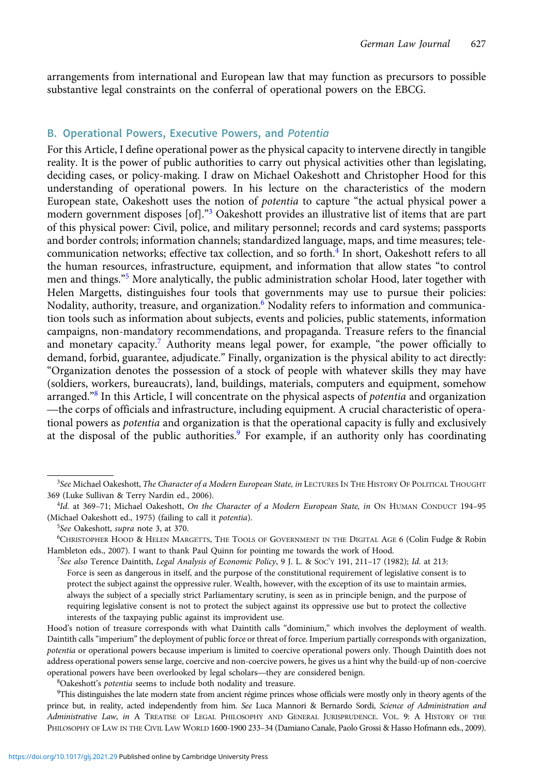arrangements from international and European law that may function as precursors to possible substantive legal constraints on the conferral of operational powers on the EBCG.

#### B. Operational Powers, Executive Powers, and Potentia

For this Article, I define operational power as the physical capacity to intervene directly in tangible reality. It is the power of public authorities to carry out physical activities other than legislating, deciding cases, or policy-making. I draw on Michael Oakeshott and Christopher Hood for this understanding of operational powers. In his lecture on the characteristics of the modern European state, Oakeshott uses the notion of potentia to capture "the actual physical power a modern government disposes [of]."<sup>3</sup> Oakeshott provides an illustrative list of items that are part of this physical power: Civil, police, and military personnel; records and card systems; passports and border controls; information channels; standardized language, maps, and time measures; telecommunication networks; effective tax collection, and so forth.<sup>4</sup> In short, Oakeshott refers to all the human resources, infrastructure, equipment, and information that allow states "to control men and things."<sup>5</sup> More analytically, the public administration scholar Hood, later together with Helen Margetts, distinguishes four tools that governments may use to pursue their policies: Nodality, authority, treasure, and organization.<sup>6</sup> Nodality refers to information and communication tools such as information about subjects, events and policies, public statements, information campaigns, non-mandatory recommendations, and propaganda. Treasure refers to the financial and monetary capacity.<sup>7</sup> Authority means legal power, for example, "the power officially to demand, forbid, guarantee, adjudicate." Finally, organization is the physical ability to act directly: "Organization denotes the possession of a stock of people with whatever skills they may have (soldiers, workers, bureaucrats), land, buildings, materials, computers and equipment, somehow arranged."<sup>8</sup> In this Article, I will concentrate on the physical aspects of potentia and organization —the corps of officials and infrastructure, including equipment. A crucial characteristic of operational powers as *potentia* and organization is that the operational capacity is fully and exclusively at the disposal of the public authorities.<sup>9</sup> For example, if an authority only has coordinating

<sup>8</sup>Oakeshott's potentia seems to include both nodality and treasure.

9 This distinguishes the late modern state from ancient régime princes whose officials were mostly only in theory agents of the prince but, in reality, acted independently from him. See Luca Mannori & Bernardo Sordi, Science of Administration and Administrative Law, in A TREATISE OF LEGAL PHILOSOPHY AND GENERAL JURISPRUDENCE. VOL. 9: A HISTORY OF THE PHILOSOPHY OF LAW IN THE CIVIL LAW WORLD 1600-1900 233–34 (Damiano Canale, Paolo Grossi & Hasso Hofmann eds., 2009).

<sup>&</sup>lt;sup>3</sup>See Michael Oakeshott, *The Character of a Modern European State, in* LECTURES IN THE HISTORY OF POLITICAL THOUGHT 369 (Luke Sullivan & Terry Nardin ed., 2006).

<sup>&</sup>lt;sup>4</sup>Id. at 369-71; Michael Oakeshott, On the Character of a Modern European State, in ON HUMAN CONDUCT 194-95 (Michael Oakeshott ed., 1975) (failing to call it potentia).

<sup>&</sup>lt;sup>5</sup>See Oakeshott, supra note 3, at 370.

<sup>6</sup> CHRISTOPHER HOOD & HELEN MARGETTS, THE TOOLS OF GOVERNMENT IN THE DIGITAL AGE 6 (Colin Fudge & Robin Hambleton eds., 2007). I want to thank Paul Quinn for pointing me towards the work of Hood.

<sup>7</sup> See also Terence Daintith, Legal Analysis of Economic Policy, 9 J. L. & SOC'Y 191, 211–17 (1982); Id. at 213: Force is seen as dangerous in itself, and the purpose of the constitutional requirement of legislative consent is to protect the subject against the oppressive ruler. Wealth, however, with the exception of its use to maintain armies, always the subject of a specially strict Parliamentary scrutiny, is seen as in principle benign, and the purpose of requiring legislative consent is not to protect the subject against its oppressive use but to protect the collective interests of the taxpaying public against its improvident use.

Hood's notion of treasure corresponds with what Daintith calls "dominium," which involves the deployment of wealth. Daintith calls "imperium" the deployment of public force or threat of force. Imperium partially corresponds with organization, potentia or operational powers because imperium is limited to coercive operational powers only. Though Daintith does not address operational powers sense large, coercive and non-coercive powers, he gives us a hint why the build-up of non-coercive operational powers have been overlooked by legal scholars—they are considered benign.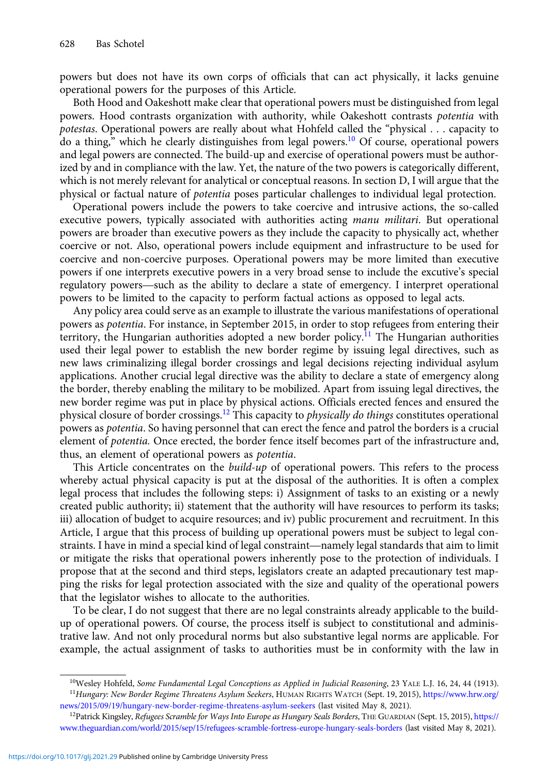powers but does not have its own corps of officials that can act physically, it lacks genuine operational powers for the purposes of this Article.

Both Hood and Oakeshott make clear that operational powers must be distinguished from legal powers. Hood contrasts organization with authority, while Oakeshott contrasts potentia with potestas. Operational powers are really about what Hohfeld called the "physical . . . capacity to do a thing," which he clearly distinguishes from legal powers.<sup>10</sup> Of course, operational powers and legal powers are connected. The build-up and exercise of operational powers must be authorized by and in compliance with the law. Yet, the nature of the two powers is categorically different, which is not merely relevant for analytical or conceptual reasons. In section D, I will argue that the physical or factual nature of potentia poses particular challenges to individual legal protection.

Operational powers include the powers to take coercive and intrusive actions, the so-called executive powers, typically associated with authorities acting *manu militari*. But operational powers are broader than executive powers as they include the capacity to physically act, whether coercive or not. Also, operational powers include equipment and infrastructure to be used for coercive and non-coercive purposes. Operational powers may be more limited than executive powers if one interprets executive powers in a very broad sense to include the excutive's special regulatory powers—such as the ability to declare a state of emergency. I interpret operational powers to be limited to the capacity to perform factual actions as opposed to legal acts.

Any policy area could serve as an example to illustrate the various manifestations of operational powers as potentia. For instance, in September 2015, in order to stop refugees from entering their territory, the Hungarian authorities adopted a new border policy.<sup>11</sup> The Hungarian authorities used their legal power to establish the new border regime by issuing legal directives, such as new laws criminalizing illegal border crossings and legal decisions rejecting individual asylum applications. Another crucial legal directive was the ability to declare a state of emergency along the border, thereby enabling the military to be mobilized. Apart from issuing legal directives, the new border regime was put in place by physical actions. Officials erected fences and ensured the physical closure of border crossings.<sup>12</sup> This capacity to *physically do things* constitutes operational powers as potentia. So having personnel that can erect the fence and patrol the borders is a crucial element of potentia. Once erected, the border fence itself becomes part of the infrastructure and, thus, an element of operational powers as potentia.

This Article concentrates on the *build-up* of operational powers. This refers to the process whereby actual physical capacity is put at the disposal of the authorities. It is often a complex legal process that includes the following steps: i) Assignment of tasks to an existing or a newly created public authority; ii) statement that the authority will have resources to perform its tasks; iii) allocation of budget to acquire resources; and iv) public procurement and recruitment. In this Article, I argue that this process of building up operational powers must be subject to legal constraints. I have in mind a special kind of legal constraint—namely legal standards that aim to limit or mitigate the risks that operational powers inherently pose to the protection of individuals. I propose that at the second and third steps, legislators create an adapted precautionary test mapping the risks for legal protection associated with the size and quality of the operational powers that the legislator wishes to allocate to the authorities.

To be clear, I do not suggest that there are no legal constraints already applicable to the buildup of operational powers. Of course, the process itself is subject to constitutional and administrative law. And not only procedural norms but also substantive legal norms are applicable. For example, the actual assignment of tasks to authorities must be in conformity with the law in

<sup>&</sup>lt;sup>10</sup>Wesley Hohfeld, Some Fundamental Legal Conceptions as Applied in Judicial Reasoning, 23 YALE L.J. 16, 24, 44 (1913). <sup>11</sup>Hungary: New Border Regime Threatens Asylum Seekers, HUMAN RIGHTS WATCH (Sept. 19, 2015), [https://www.hrw.org/](https://www.hrw.org/news/2015/09/19/hungary-new-border-regime-threatens-asylum-seekers) [news/2015/09/19/hungary-new-border-regime-threatens-asylum-seekers](https://www.hrw.org/news/2015/09/19/hungary-new-border-regime-threatens-asylum-seekers) (last visited May 8, 2021).

<sup>&</sup>lt;sup>12</sup>Patrick Kingsley, Refugees Scramble for Ways Into Europe as Hungary Seals Borders, THE GUARDIAN (Sept. 15, 2015), [https://](https://www.theguardian.com/world/2015/sep/15/refugees-scramble-fortress-europe-hungary-seals-borders) [www.theguardian.com/world/2015/sep/15/refugees-scramble-fortress-europe-hungary-seals-borders](https://www.theguardian.com/world/2015/sep/15/refugees-scramble-fortress-europe-hungary-seals-borders) (last visited May 8, 2021).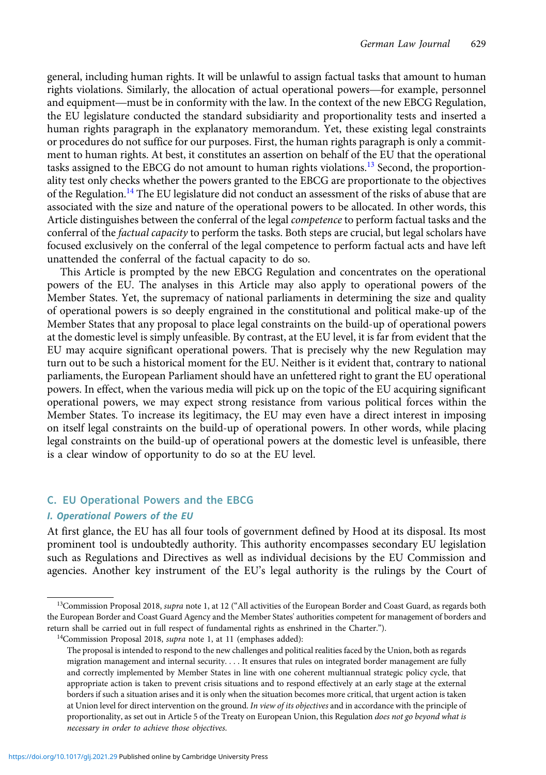general, including human rights. It will be unlawful to assign factual tasks that amount to human rights violations. Similarly, the allocation of actual operational powers—for example, personnel and equipment—must be in conformity with the law. In the context of the new EBCG Regulation, the EU legislature conducted the standard subsidiarity and proportionality tests and inserted a human rights paragraph in the explanatory memorandum. Yet, these existing legal constraints or procedures do not suffice for our purposes. First, the human rights paragraph is only a commitment to human rights. At best, it constitutes an assertion on behalf of the EU that the operational tasks assigned to the EBCG do not amount to human rights violations.<sup>13</sup> Second, the proportionality test only checks whether the powers granted to the EBCG are proportionate to the objectives of the Regulation.<sup>14</sup> The EU legislature did not conduct an assessment of the risks of abuse that are associated with the size and nature of the operational powers to be allocated. In other words, this Article distinguishes between the conferral of the legal *competence* to perform factual tasks and the conferral of the *factual capacity* to perform the tasks. Both steps are crucial, but legal scholars have focused exclusively on the conferral of the legal competence to perform factual acts and have left unattended the conferral of the factual capacity to do so.

This Article is prompted by the new EBCG Regulation and concentrates on the operational powers of the EU. The analyses in this Article may also apply to operational powers of the Member States. Yet, the supremacy of national parliaments in determining the size and quality of operational powers is so deeply engrained in the constitutional and political make-up of the Member States that any proposal to place legal constraints on the build-up of operational powers at the domestic level is simply unfeasible. By contrast, at the EU level, it is far from evident that the EU may acquire significant operational powers. That is precisely why the new Regulation may turn out to be such a historical moment for the EU. Neither is it evident that, contrary to national parliaments, the European Parliament should have an unfettered right to grant the EU operational powers. In effect, when the various media will pick up on the topic of the EU acquiring significant operational powers, we may expect strong resistance from various political forces within the Member States. To increase its legitimacy, the EU may even have a direct interest in imposing on itself legal constraints on the build-up of operational powers. In other words, while placing legal constraints on the build-up of operational powers at the domestic level is unfeasible, there is a clear window of opportunity to do so at the EU level.

#### C. EU Operational Powers and the EBCG

#### I. Operational Powers of the EU

At first glance, the EU has all four tools of government defined by Hood at its disposal. Its most prominent tool is undoubtedly authority. This authority encompasses secondary EU legislation such as Regulations and Directives as well as individual decisions by the EU Commission and agencies. Another key instrument of the EU's legal authority is the rulings by the Court of

<sup>&</sup>lt;sup>13</sup>Commission Proposal 2018, *supra* note 1, at 12 ("All activities of the European Border and Coast Guard, as regards both the European Border and Coast Guard Agency and the Member States' authorities competent for management of borders and return shall be carried out in full respect of fundamental rights as enshrined in the Charter.").

 $14$ Commission Proposal 2018, supra note 1, at 11 (emphases added):

The proposal is intended to respond to the new challenges and political realities faced by the Union, both as regards migration management and internal security. . . . It ensures that rules on integrated border management are fully and correctly implemented by Member States in line with one coherent multiannual strategic policy cycle, that appropriate action is taken to prevent crisis situations and to respond effectively at an early stage at the external borders if such a situation arises and it is only when the situation becomes more critical, that urgent action is taken at Union level for direct intervention on the ground. In view of its objectives and in accordance with the principle of proportionality, as set out in Article 5 of the Treaty on European Union, this Regulation does not go beyond what is necessary in order to achieve those objectives.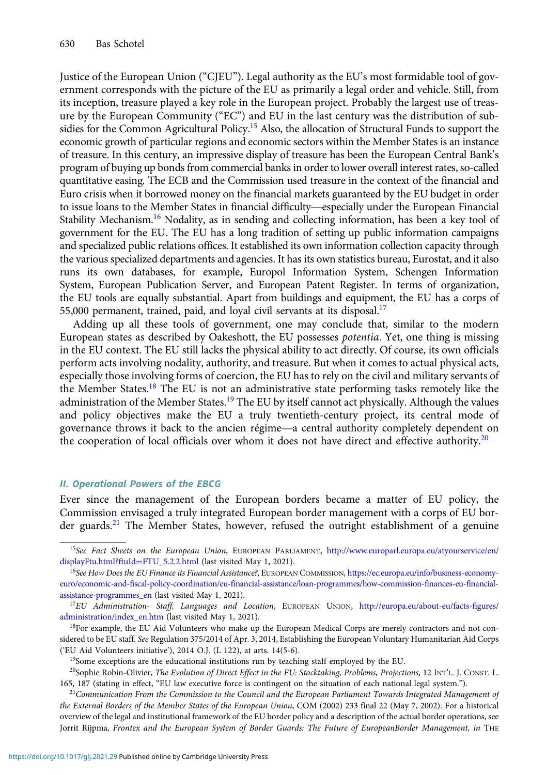Justice of the European Union ("CJEU"). Legal authority as the EU's most formidable tool of government corresponds with the picture of the EU as primarily a legal order and vehicle. Still, from its inception, treasure played a key role in the European project. Probably the largest use of treasure by the European Community ("EC") and EU in the last century was the distribution of subsidies for the Common Agricultural Policy.<sup>15</sup> Also, the allocation of Structural Funds to support the economic growth of particular regions and economic sectors within the Member States is an instance of treasure. In this century, an impressive display of treasure has been the European Central Bank's program of buying up bonds from commercial banks in order to lower overall interest rates, so-called quantitative easing. The ECB and the Commission used treasure in the context of the financial and Euro crisis when it borrowed money on the financial markets guaranteed by the EU budget in order to issue loans to the Member States in financial difficulty—especially under the European Financial Stability Mechanism.<sup>16</sup> Nodality, as in sending and collecting information, has been a key tool of government for the EU. The EU has a long tradition of setting up public information campaigns and specialized public relations offices. It established its own information collection capacity through the various specialized departments and agencies. It has its own statistics bureau, Eurostat, and it also runs its own databases, for example, Europol Information System, Schengen Information System, European Publication Server, and European Patent Register. In terms of organization, the EU tools are equally substantial. Apart from buildings and equipment, the EU has a corps of 55,000 permanent, trained, paid, and loyal civil servants at its disposal.<sup>17</sup>

Adding up all these tools of government, one may conclude that, similar to the modern European states as described by Oakeshott, the EU possesses potentia. Yet, one thing is missing in the EU context. The EU still lacks the physical ability to act directly. Of course, its own officials perform acts involving nodality, authority, and treasure. But when it comes to actual physical acts, especially those involving forms of coercion, the EU has to rely on the civil and military servants of the Member States.<sup>18</sup> The EU is not an administrative state performing tasks remotely like the administration of the Member States.<sup>19</sup> The EU by itself cannot act physically. Although the values and policy objectives make the EU a truly twentieth-century project, its central mode of governance throws it back to the ancien régime—a central authority completely dependent on the cooperation of local officials over whom it does not have direct and effective authority.<sup>20</sup>

#### II. Operational Powers of the EBCG

Ever since the management of the European borders became a matter of EU policy, the Commission envisaged a truly integrated European border management with a corps of EU border guards.<sup>21</sup> The Member States, however, refused the outright establishment of a genuine

<sup>&</sup>lt;sup>15</sup>See Fact Sheets on the European Union, EUROPEAN PARLIAMENT, [http://www.europarl.europa.eu/atyourservice/en/](http://www.europarl.europa.eu/atyourservice/en/displayFtu.html?ftuId=FTU_5.2.2.html) [displayFtu.html?ftuId](http://www.europarl.europa.eu/atyourservice/en/displayFtu.html?ftuId=FTU_5.2.2.html)=[FTU\\_5.2.2.html](http://www.europarl.europa.eu/atyourservice/en/displayFtu.html?ftuId=FTU_5.2.2.html) (last visited May 1, 2021).

<sup>&</sup>lt;sup>16</sup>See How Does the EU Finance its Financial Assistance?, EUROPEAN COMMISSION, [https://ec.europa.eu/info/business-economy](https://ec.europa.eu/info/business-economy-euro/economic-and-fiscal-policy-coordination/eu-financial-assistance/loan-programmes/how-commission-finances-eu-financial-assistance-programmes_en)[euro/economic-and-fiscal-policy-coordination/eu-financial-assistance/loan-programmes/how-commission-finances-eu-financial](https://ec.europa.eu/info/business-economy-euro/economic-and-fiscal-policy-coordination/eu-financial-assistance/loan-programmes/how-commission-finances-eu-financial-assistance-programmes_en)[assistance-programmes\\_en](https://ec.europa.eu/info/business-economy-euro/economic-and-fiscal-policy-coordination/eu-financial-assistance/loan-programmes/how-commission-finances-eu-financial-assistance-programmes_en) (last visited May 1, 2021).

<sup>&</sup>lt;sup>17</sup>EU Administration- Staff, Languages and Location, EUROPEAN UNION, [http://europa.eu/about-eu/facts-figures/](http://europa.eu/about-eu/facts-figures/administration/index_en.htm) [administration/index\\_en.htm](http://europa.eu/about-eu/facts-figures/administration/index_en.htm) (last visited May 1, 2021).

<sup>&</sup>lt;sup>18</sup>For example, the EU Aid Volunteers who make up the European Medical Corps are merely contractors and not considered to be EU staff. See Regulation 375/2014 of Apr. 3, 2014, Establishing the European Voluntary Humanitarian Aid Corps ('EU Aid Volunteers initiative'), 2014 O.J. (L 122), at arts. 14(5-6).

<sup>&</sup>lt;sup>19</sup>Some exceptions are the educational institutions run by teaching staff employed by the EU.

<sup>&</sup>lt;sup>20</sup>Sophie Robin-Olivier, The Evolution of Direct Effect in the EU: Stocktaking, Problems, Projections, 12 INT'L. J. CONST. L. 165, 187 (stating in effect, "EU law executive force is contingent on the situation of each national legal system.").

 $21$ Communication From the Commission to the Council and the European Parliament Towards Integrated Management of the External Borders of the Member States of the European Union, COM (2002) 233 final 22 (May 7, 2002). For a historical overview of the legal and institutional framework of the EU border policy and a description of the actual border operations, see Jorrit Rijpma, Frontex and the European System of Border Guards: The Future of EuropeanBorder Management, in THE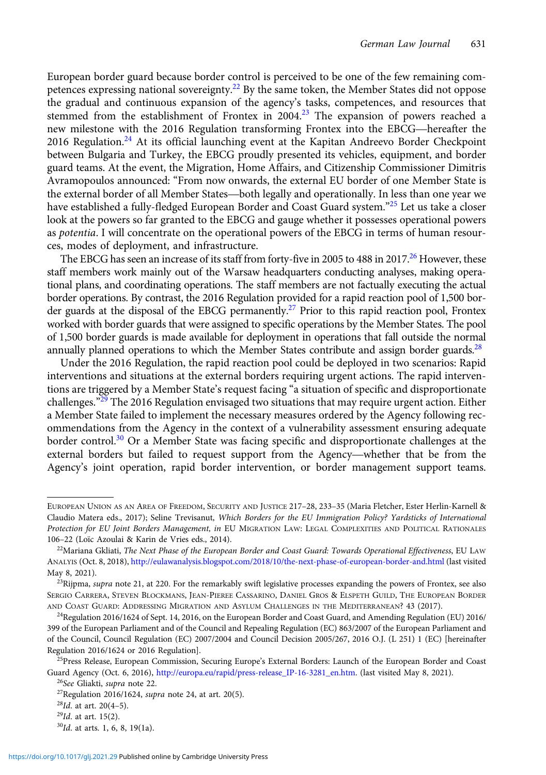European border guard because border control is perceived to be one of the few remaining competences expressing national sovereignty.<sup>22</sup> By the same token, the Member States did not oppose the gradual and continuous expansion of the agency's tasks, competences, and resources that stemmed from the establishment of Frontex in  $2004<sup>23</sup>$  The expansion of powers reached a new milestone with the 2016 Regulation transforming Frontex into the EBCG—hereafter the 2016 Regulation.<sup>24</sup> At its official launching event at the Kapitan Andreevo Border Checkpoint between Bulgaria and Turkey, the EBCG proudly presented its vehicles, equipment, and border guard teams. At the event, the Migration, Home Affairs, and Citizenship Commissioner Dimitris Avramopoulos announced: "From now onwards, the external EU border of one Member State is the external border of all Member States—both legally and operationally. In less than one year we have established a fully-fledged European Border and Coast Guard system."<sup>25</sup> Let us take a closer look at the powers so far granted to the EBCG and gauge whether it possesses operational powers as *potentia*. I will concentrate on the operational powers of the EBCG in terms of human resources, modes of deployment, and infrastructure.

The EBCG has seen an increase of its staff from forty-five in 2005 to 488 in 2017.<sup>26</sup> However, these staff members work mainly out of the Warsaw headquarters conducting analyses, making operational plans, and coordinating operations. The staff members are not factually executing the actual border operations. By contrast, the 2016 Regulation provided for a rapid reaction pool of 1,500 border guards at the disposal of the EBCG permanently.<sup>27</sup> Prior to this rapid reaction pool, Frontex worked with border guards that were assigned to specific operations by the Member States. The pool of 1,500 border guards is made available for deployment in operations that fall outside the normal annually planned operations to which the Member States contribute and assign border guards.<sup>28</sup>

Under the 2016 Regulation, the rapid reaction pool could be deployed in two scenarios: Rapid interventions and situations at the external borders requiring urgent actions. The rapid interventions are triggered by a Member State's request facing "a situation of specific and disproportionate challenges."<sup>29</sup> The 2016 Regulation envisaged two situations that may require urgent action. Either a Member State failed to implement the necessary measures ordered by the Agency following recommendations from the Agency in the context of a vulnerability assessment ensuring adequate border control.<sup>30</sup> Or a Member State was facing specific and disproportionate challenges at the external borders but failed to request support from the Agency—whether that be from the Agency's joint operation, rapid border intervention, or border management support teams.

EUROPEAN UNION AS AN AREA OF FREEDOM, SECURITY AND JUSTICE 217–28, 233–35 (Maria Fletcher, Ester Herlin-Karnell & Claudio Matera eds., 2017); Seline Trevisanut, Which Borders for the EU Immigration Policy? Yardsticks of International Protection for EU Joint Borders Management, in EU MIGRATION LAW: LEGAL COMPLEXITIES AND POLITICAL RATIONALES 106–22 (Loïc Azoulai & Karin de Vries eds., 2014).

<sup>&</sup>lt;sup>22</sup>Mariana Gkliati, The Next Phase of the European Border and Coast Guard: Towards Operational Effectiveness, EU LAW ANALYIS (Oct. 8, 2018), <http://eulawanalysis.blogspot.com/2018/10/the-next-phase-of-european-border-and.html> (last visited May 8, 2021).

 $^{23}$ Rijpma, supra note 21, at 220. For the remarkably swift legislative processes expanding the powers of Frontex, see also SERGIO CARRERA, STEVEN BLOCKMANS, JEAN-PIEREE CASSARINO, DANIEL GROS & ELSPETH GUILD, THE EUROPEAN BORDER AND COAST GUARD: ADDRESSING MIGRATION AND ASYLUM CHALLENGES IN THE MEDITERRANEAN? 43 (2017).

<sup>24</sup>Regulation 2016/1624 of Sept. 14, 2016, on the European Border and Coast Guard, and Amending Regulation (EU) 2016/ 399 of the European Parliament and of the Council and Repealing Regulation (EC) 863/2007 of the European Parliament and of the Council, Council Regulation (EC) 2007/2004 and Council Decision 2005/267, 2016 O.J. (L 251) 1 (EC) [hereinafter Regulation 2016/1624 or 2016 Regulation].

<sup>&</sup>lt;sup>25</sup>Press Release, European Commission, Securing Europe's External Borders: Launch of the European Border and Coast Guard Agency (Oct. 6, 2016), [http://europa.eu/rapid/press-release\\_IP-16-3281\\_en.htm](http://europa.eu/rapid/press-release_IP-16-3281_en.htm). (last visited May 8, 2021). <sup>26</sup>See Gliakti, supra note 22.

<sup>&</sup>lt;sup>27</sup>Regulation 2016/1624, *supra* note 24, at art. 20(5).

 $^{28}$ Id. at art. 20(4-5).

 $29$ Id. at art. 15(2).

<sup>30</sup>Id. at arts. 1, 6, 8, 19(1a).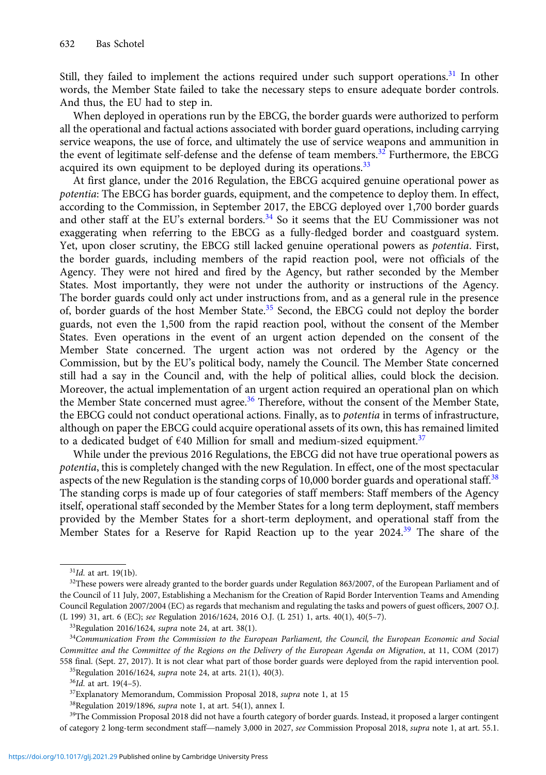Still, they failed to implement the actions required under such support operations.<sup>31</sup> In other words, the Member State failed to take the necessary steps to ensure adequate border controls. And thus, the EU had to step in.

When deployed in operations run by the EBCG, the border guards were authorized to perform all the operational and factual actions associated with border guard operations, including carrying service weapons, the use of force, and ultimately the use of service weapons and ammunition in the event of legitimate self-defense and the defense of team members.<sup>32</sup> Furthermore, the EBCG acquired its own equipment to be deployed during its operations.<sup>33</sup>

At first glance, under the 2016 Regulation, the EBCG acquired genuine operational power as potentia: The EBCG has border guards, equipment, and the competence to deploy them. In effect, according to the Commission, in September 2017, the EBCG deployed over 1,700 border guards and other staff at the EU's external borders. $34$  So it seems that the EU Commissioner was not exaggerating when referring to the EBCG as a fully-fledged border and coastguard system. Yet, upon closer scrutiny, the EBCG still lacked genuine operational powers as potentia. First, the border guards, including members of the rapid reaction pool, were not officials of the Agency. They were not hired and fired by the Agency, but rather seconded by the Member States. Most importantly, they were not under the authority or instructions of the Agency. The border guards could only act under instructions from, and as a general rule in the presence of, border guards of the host Member State.<sup>35</sup> Second, the EBCG could not deploy the border guards, not even the 1,500 from the rapid reaction pool, without the consent of the Member States. Even operations in the event of an urgent action depended on the consent of the Member State concerned. The urgent action was not ordered by the Agency or the Commission, but by the EU's political body, namely the Council. The Member State concerned still had a say in the Council and, with the help of political allies, could block the decision. Moreover, the actual implementation of an urgent action required an operational plan on which the Member State concerned must agree.<sup>36</sup> Therefore, without the consent of the Member State, the EBCG could not conduct operational actions. Finally, as to *potentia* in terms of infrastructure, although on paper the EBCG could acquire operational assets of its own, this has remained limited to a dedicated budget of  $\epsilon$ 40 Million for small and medium-sized equipment.<sup>37</sup>

While under the previous 2016 Regulations, the EBCG did not have true operational powers as potentia, this is completely changed with the new Regulation. In effect, one of the most spectacular aspects of the new Regulation is the standing corps of 10,000 border guards and operational staff.<sup>38</sup> The standing corps is made up of four categories of staff members: Staff members of the Agency itself, operational staff seconded by the Member States for a long term deployment, staff members provided by the Member States for a short-term deployment, and operational staff from the Member States for a Reserve for Rapid Reaction up to the year 2024.<sup>39</sup> The share of the

<sup>35</sup>Regulation 2016/1624, *supra* note 24, at arts. 21(1), 40(3).

 $31$ Id. at art. 19(1b).

<sup>&</sup>lt;sup>32</sup>These powers were already granted to the border guards under Regulation 863/2007, of the European Parliament and of the Council of 11 July, 2007, Establishing a Mechanism for the Creation of Rapid Border Intervention Teams and Amending Council Regulation 2007/2004 (EC) as regards that mechanism and regulating the tasks and powers of guest officers, 2007 O.J. (L 199) 31, art. 6 (EC); see Regulation 2016/1624, 2016 O.J. (L 251) 1, arts. 40(1), 40(5–7).

<sup>33</sup>Regulation 2016/1624, supra note 24, at art. 38(1).

<sup>&</sup>lt;sup>34</sup>Communication From the Commission to the European Parliament, the Council, the European Economic and Social Committee and the Committee of the Regions on the Delivery of the European Agenda on Migration, at 11, COM (2017) 558 final. (Sept. 27, 2017). It is not clear what part of those border guards were deployed from the rapid intervention pool.

<sup>36</sup>Id. at art. 19(4–5).

 $37$ Explanatory Memorandum, Commission Proposal 2018, supra note 1, at 15

 $38$ Regulation 2019/1896, supra note 1, at art. 54(1), annex I.

<sup>&</sup>lt;sup>39</sup>The Commission Proposal 2018 did not have a fourth category of border guards. Instead, it proposed a larger contingent of category 2 long-term secondment staff—namely 3,000 in 2027, see Commission Proposal 2018, supra note 1, at art. 55.1.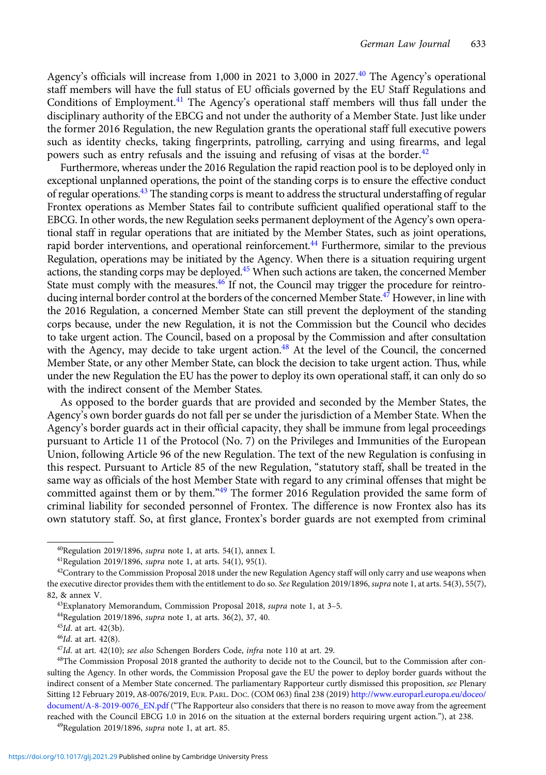Agency's officials will increase from 1,000 in 2021 to 3,000 in 2027.<sup>40</sup> The Agency's operational staff members will have the full status of EU officials governed by the EU Staff Regulations and Conditions of Employment.<sup>41</sup> The Agency's operational staff members will thus fall under the disciplinary authority of the EBCG and not under the authority of a Member State. Just like under the former 2016 Regulation, the new Regulation grants the operational staff full executive powers such as identity checks, taking fingerprints, patrolling, carrying and using firearms, and legal powers such as entry refusals and the issuing and refusing of visas at the border.<sup>42</sup>

Furthermore, whereas under the 2016 Regulation the rapid reaction pool is to be deployed only in exceptional unplanned operations, the point of the standing corps is to ensure the effective conduct of regular operations.<sup>43</sup> The standing corps is meant to address the structural understaffing of regular Frontex operations as Member States fail to contribute sufficient qualified operational staff to the EBCG. In other words, the new Regulation seeks permanent deployment of the Agency's own operational staff in regular operations that are initiated by the Member States, such as joint operations, rapid border interventions, and operational reinforcement.<sup>44</sup> Furthermore, similar to the previous Regulation, operations may be initiated by the Agency. When there is a situation requiring urgent actions, the standing corps may be deployed.<sup>45</sup> When such actions are taken, the concerned Member State must comply with the measures.<sup>46</sup> If not, the Council may trigger the procedure for reintroducing internal border control at the borders of the concerned Member State.<sup>47</sup> However, in line with the 2016 Regulation, a concerned Member State can still prevent the deployment of the standing corps because, under the new Regulation, it is not the Commission but the Council who decides to take urgent action. The Council, based on a proposal by the Commission and after consultation with the Agency, may decide to take urgent action.<sup>48</sup> At the level of the Council, the concerned Member State, or any other Member State, can block the decision to take urgent action. Thus, while under the new Regulation the EU has the power to deploy its own operational staff, it can only do so with the indirect consent of the Member States.

As opposed to the border guards that are provided and seconded by the Member States, the Agency's own border guards do not fall per se under the jurisdiction of a Member State. When the Agency's border guards act in their official capacity, they shall be immune from legal proceedings pursuant to Article 11 of the Protocol (No. 7) on the Privileges and Immunities of the European Union, following Article 96 of the new Regulation. The text of the new Regulation is confusing in this respect. Pursuant to Article 85 of the new Regulation, "statutory staff, shall be treated in the same way as officials of the host Member State with regard to any criminal offenses that might be committed against them or by them."<sup>49</sup> The former 2016 Regulation provided the same form of criminal liability for seconded personnel of Frontex. The difference is now Frontex also has its own statutory staff. So, at first glance, Frontex's border guards are not exempted from criminal

 $^{40}$ Regulation 2019/1896, supra note 1, at arts. 54(1), annex I.

<sup>&</sup>lt;sup>41</sup>Regulation 2019/1896, *supra* note 1, at arts. 54(1), 95(1).

 $42$ Contrary to the Commission Proposal 2018 under the new Regulation Agency staff will only carry and use weapons when the executive director provides them with the entitlement to do so. See Regulation 2019/1896, supra note 1, at arts. 54(3), 55(7), 82, & annex V.

<sup>&</sup>lt;sup>43</sup>Explanatory Memorandum, Commission Proposal 2018, *supra* note 1, at 3-5.

<sup>44</sup>Regulation 2019/1896, supra note 1, at arts. 36(2), 37, 40.

<sup>&</sup>lt;sup>45</sup>Id. at art. 42(3b).

 $46$ Id. at art.  $42(8)$ .

 $47$ Id. at art. 42(10); see also Schengen Borders Code, infra note 110 at art. 29.

<sup>48</sup>The Commission Proposal 2018 granted the authority to decide not to the Council, but to the Commission after consulting the Agency. In other words, the Commission Proposal gave the EU the power to deploy border guards without the indirect consent of a Member State concerned. The parliamentary Rapporteur curtly dismissed this proposition, see Plenary Sitting 12 February 2019, A8-0076/2019, EUR. PARL. DOC. (COM 063) final 238 (2019) [http://www.europarl.europa.eu/doceo/](http://www.europarl.europa.eu/doceo/document/A-8-2019-0076_EN.pdf) [document/A-8-2019-0076\\_EN.pdf](http://www.europarl.europa.eu/doceo/document/A-8-2019-0076_EN.pdf) ("The Rapporteur also considers that there is no reason to move away from the agreement reached with the Council EBCG 1.0 in 2016 on the situation at the external borders requiring urgent action."), at 238.

 $^{49}$ Regulation 2019/1896, *supra* note 1, at art. 85.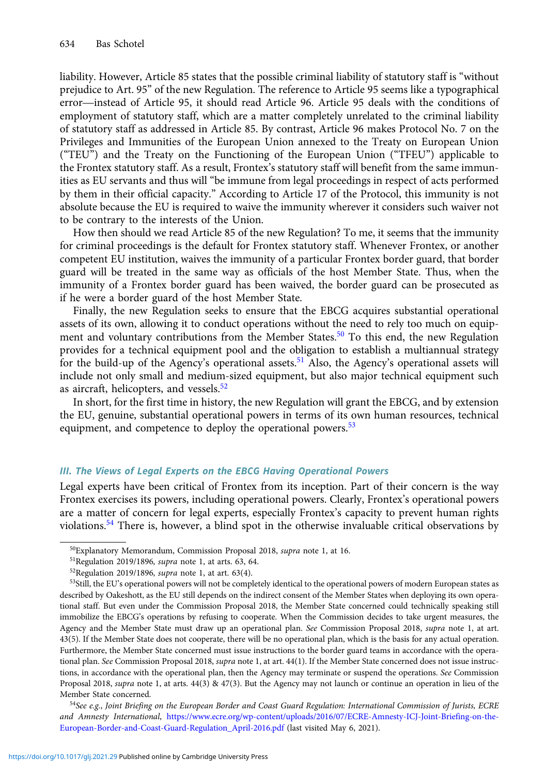liability. However, Article 85 states that the possible criminal liability of statutory staff is "without prejudice to Art. 95" of the new Regulation. The reference to Article 95 seems like a typographical error—instead of Article 95, it should read Article 96. Article 95 deals with the conditions of employment of statutory staff, which are a matter completely unrelated to the criminal liability of statutory staff as addressed in Article 85. By contrast, Article 96 makes Protocol No. 7 on the Privileges and Immunities of the European Union annexed to the Treaty on European Union ("TEU") and the Treaty on the Functioning of the European Union ("TFEU") applicable to the Frontex statutory staff. As a result, Frontex's statutory staff will benefit from the same immunities as EU servants and thus will "be immune from legal proceedings in respect of acts performed by them in their official capacity." According to Article 17 of the Protocol, this immunity is not absolute because the EU is required to waive the immunity wherever it considers such waiver not to be contrary to the interests of the Union.

How then should we read Article 85 of the new Regulation? To me, it seems that the immunity for criminal proceedings is the default for Frontex statutory staff. Whenever Frontex, or another competent EU institution, waives the immunity of a particular Frontex border guard, that border guard will be treated in the same way as officials of the host Member State. Thus, when the immunity of a Frontex border guard has been waived, the border guard can be prosecuted as if he were a border guard of the host Member State.

Finally, the new Regulation seeks to ensure that the EBCG acquires substantial operational assets of its own, allowing it to conduct operations without the need to rely too much on equipment and voluntary contributions from the Member States.<sup>50</sup> To this end, the new Regulation provides for a technical equipment pool and the obligation to establish a multiannual strategy for the build-up of the Agency's operational assets.<sup>51</sup> Also, the Agency's operational assets will include not only small and medium-sized equipment, but also major technical equipment such as aircraft, helicopters, and vessels.<sup>52</sup>

In short, for the first time in history, the new Regulation will grant the EBCG, and by extension the EU, genuine, substantial operational powers in terms of its own human resources, technical equipment, and competence to deploy the operational powers.<sup>53</sup>

#### III. The Views of Legal Experts on the EBCG Having Operational Powers

Legal experts have been critical of Frontex from its inception. Part of their concern is the way Frontex exercises its powers, including operational powers. Clearly, Frontex's operational powers are a matter of concern for legal experts, especially Frontex's capacity to prevent human rights violations.<sup>54</sup> There is, however, a blind spot in the otherwise invaluable critical observations by

<sup>50</sup>Explanatory Memorandum, Commission Proposal 2018, supra note 1, at 16.

<sup>51</sup>Regulation 2019/1896, supra note 1, at arts. 63, 64.

 $52$ Regulation 2019/1896, *supra* note 1, at art. 63(4).

<sup>53</sup>Still, the EU's operational powers will not be completely identical to the operational powers of modern European states as described by Oakeshott, as the EU still depends on the indirect consent of the Member States when deploying its own operational staff. But even under the Commission Proposal 2018, the Member State concerned could technically speaking still immobilize the EBCG's operations by refusing to cooperate. When the Commission decides to take urgent measures, the Agency and the Member State must draw up an operational plan. See Commission Proposal 2018, supra note 1, at art. 43(5). If the Member State does not cooperate, there will be no operational plan, which is the basis for any actual operation. Furthermore, the Member State concerned must issue instructions to the border guard teams in accordance with the operational plan. See Commission Proposal 2018, supra note 1, at art. 44(1). If the Member State concerned does not issue instructions, in accordance with the operational plan, then the Agency may terminate or suspend the operations. See Commission Proposal 2018, supra note 1, at arts. 44(3) & 47(3). But the Agency may not launch or continue an operation in lieu of the Member State concerned.

<sup>&</sup>lt;sup>54</sup>See e.g., Joint Briefing on the European Border and Coast Guard Regulation: International Commission of Jurists, ECRE and Amnesty International, [https://www.ecre.org/wp-content/uploads/2016/07/ECRE-Amnesty-ICJ-Joint-Briefing-on-the-](https://www.ecre.org/wp-content/uploads/2016/07/ECRE-Amnesty-ICJ-Joint-Briefing-on-the-European-Border-and-Coast-Guard-Regulation_April-2016.pdf)[European-Border-and-Coast-Guard-Regulation\\_April-2016.pdf](https://www.ecre.org/wp-content/uploads/2016/07/ECRE-Amnesty-ICJ-Joint-Briefing-on-the-European-Border-and-Coast-Guard-Regulation_April-2016.pdf) (last visited May 6, 2021).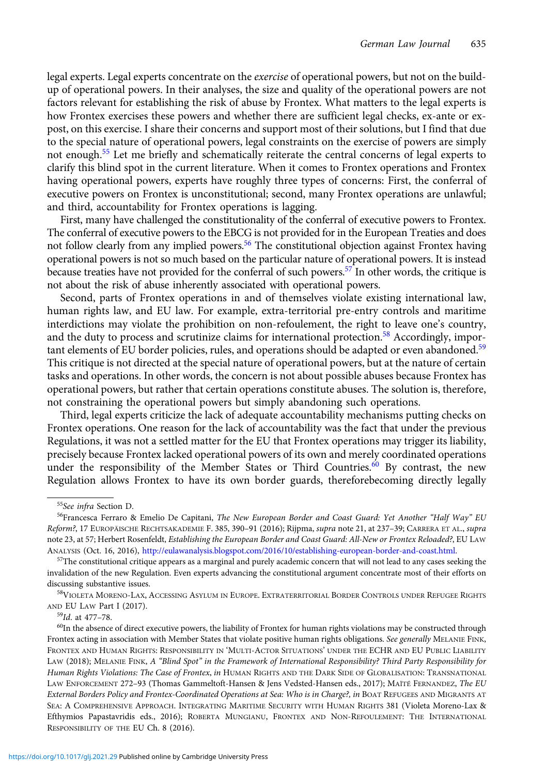legal experts. Legal experts concentrate on the exercise of operational powers, but not on the buildup of operational powers. In their analyses, the size and quality of the operational powers are not factors relevant for establishing the risk of abuse by Frontex. What matters to the legal experts is how Frontex exercises these powers and whether there are sufficient legal checks, ex-ante or expost, on this exercise. I share their concerns and support most of their solutions, but I find that due to the special nature of operational powers, legal constraints on the exercise of powers are simply not enough.<sup>55</sup> Let me briefly and schematically reiterate the central concerns of legal experts to clarify this blind spot in the current literature. When it comes to Frontex operations and Frontex having operational powers, experts have roughly three types of concerns: First, the conferral of executive powers on Frontex is unconstitutional; second, many Frontex operations are unlawful; and third, accountability for Frontex operations is lagging.

First, many have challenged the constitutionality of the conferral of executive powers to Frontex. The conferral of executive powers to the EBCG is not provided for in the European Treaties and does not follow clearly from any implied powers.<sup>56</sup> The constitutional objection against Frontex having operational powers is not so much based on the particular nature of operational powers. It is instead because treaties have not provided for the conferral of such powers.<sup>57</sup> In other words, the critique is not about the risk of abuse inherently associated with operational powers.

Second, parts of Frontex operations in and of themselves violate existing international law, human rights law, and EU law. For example, extra-territorial pre-entry controls and maritime interdictions may violate the prohibition on non-refoulement, the right to leave one's country, and the duty to process and scrutinize claims for international protection.<sup>58</sup> Accordingly, important elements of EU border policies, rules, and operations should be adapted or even abandoned.<sup>59</sup> This critique is not directed at the special nature of operational powers, but at the nature of certain tasks and operations. In other words, the concern is not about possible abuses because Frontex has operational powers, but rather that certain operations constitute abuses. The solution is, therefore, not constraining the operational powers but simply abandoning such operations.

Third, legal experts criticize the lack of adequate accountability mechanisms putting checks on Frontex operations. One reason for the lack of accountability was the fact that under the previous Regulations, it was not a settled matter for the EU that Frontex operations may trigger its liability, precisely because Frontex lacked operational powers of its own and merely coordinated operations under the responsibility of the Member States or Third Countries.<sup>60</sup> By contrast, the new Regulation allows Frontex to have its own border guards, thereforebecoming directly legally

<sup>55</sup>See infra Section D.

<sup>&</sup>lt;sup>56</sup>Francesca Ferraro & Emelio De Capitani, The New European Border and Coast Guard: Yet Another "Half Way" EU Reform?, 17 EUROPÄISCHE RECHTSAKADEMIE F. 385, 390-91 (2016); Rijpma, supra note 21, at 237-39; CARRERA ET AL., supra note 23, at 57; Herbert Rosenfeldt, Establishing the European Border and Coast Guard: All-New or Frontex Reloaded?, EU LAW ANALYSIS (Oct. 16, 2016), <http://eulawanalysis.blogspot.com/2016/10/establishing-european-border-and-coast.html>.

 $57$ The constitutional critique appears as a marginal and purely academic concern that will not lead to any cases seeking the invalidation of the new Regulation. Even experts advancing the constitutional argument concentrate most of their efforts on discussing substantive issues.

<sup>58</sup>VIOLETA MORENO-LAX, ACCESSING ASYLUM IN EUROPE. EXTRATERRITORIAL BORDER CONTROLS UNDER REFUGEE RIGHTS AND EU LAW Part I (2017).

<sup>59</sup>Id. at 477–78.

 $60$ In the absence of direct executive powers, the liability of Frontex for human rights violations may be constructed through Frontex acting in association with Member States that violate positive human rights obligations. See generally MELANIE FINK, FRONTEX AND HUMAN RIGHTS: RESPONSIBILITY IN 'MULTI-ACTOR SITUATIONS' UNDER THE ECHR AND EU PUBLIC LIABILITY LAW (2018); MELANIE FINK, A "Blind Spot" in the Framework of International Responsibility? Third Party Responsibility for Human Rights Violations: The Case of Frontex, in HUMAN RIGHTS AND THE DARK SIDE OF GLOBALISATION: TRANSNATIONAL LAW ENFORCEMENT 272–93 (Thomas Gammeltoft-Hansen & Jens Vedsted-Hansen eds., 2017); MAÏTÉ FERNANDEZ, The EU External Borders Policy and Frontex-Coordinated Operations at Sea: Who is in Charge?, in BOAT REFUGEES AND MIGRANTS AT SEA: A COMPREHENSIVE APPROACH. INTEGRATING MARITIME SECURITY WITH HUMAN RIGHTS 381 (Violeta Moreno-Lax & Efthymios Papastavridis eds., 2016); ROBERTA MUNGIANU, FRONTEX AND NON-REFOULEMENT: THE INTERNATIONAL RESPONSIBILITY OF THE EU Ch. 8 (2016).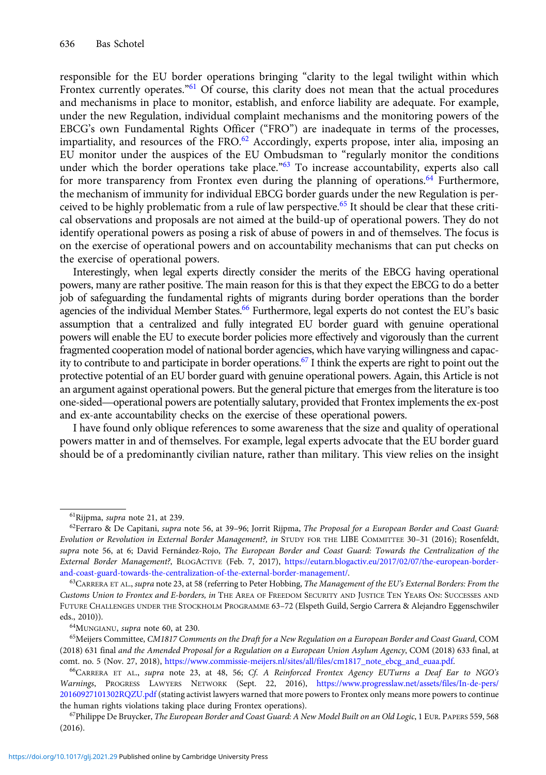responsible for the EU border operations bringing "clarity to the legal twilight within which Frontex currently operates.<sup>"61</sup> Of course, this clarity does not mean that the actual procedures and mechanisms in place to monitor, establish, and enforce liability are adequate. For example, under the new Regulation, individual complaint mechanisms and the monitoring powers of the EBCG's own Fundamental Rights Officer ("FRO") are inadequate in terms of the processes, impartiality, and resources of the FRO. $^{62}$  Accordingly, experts propose, inter alia, imposing an EU monitor under the auspices of the EU Ombudsman to "regularly monitor the conditions under which the border operations take place.<sup>"63</sup> To increase accountability, experts also call for more transparency from Frontex even during the planning of operations.<sup>64</sup> Furthermore, the mechanism of immunity for individual EBCG border guards under the new Regulation is perceived to be highly problematic from a rule of law perspective.<sup>65</sup> It should be clear that these critical observations and proposals are not aimed at the build-up of operational powers. They do not identify operational powers as posing a risk of abuse of powers in and of themselves. The focus is on the exercise of operational powers and on accountability mechanisms that can put checks on the exercise of operational powers.

Interestingly, when legal experts directly consider the merits of the EBCG having operational powers, many are rather positive. The main reason for this is that they expect the EBCG to do a better job of safeguarding the fundamental rights of migrants during border operations than the border agencies of the individual Member States.<sup>66</sup> Furthermore, legal experts do not contest the EU's basic assumption that a centralized and fully integrated EU border guard with genuine operational powers will enable the EU to execute border policies more effectively and vigorously than the current fragmented cooperation model of national border agencies, which have varying willingness and capacity to contribute to and participate in border operations.<sup>67</sup> I think the experts are right to point out the protective potential of an EU border guard with genuine operational powers. Again, this Article is not an argument against operational powers. But the general picture that emerges from the literature is too one-sided—operational powers are potentially salutary, provided that Frontex implements the ex-post and ex-ante accountability checks on the exercise of these operational powers.

I have found only oblique references to some awareness that the size and quality of operational powers matter in and of themselves. For example, legal experts advocate that the EU border guard should be of a predominantly civilian nature, rather than military. This view relies on the insight

 ${}^{61}$ Rijpma, *supra* note 21, at 239.

 $62$ Ferraro & De Capitani, supra note 56, at 39–96; Jorrit Rijpma, The Proposal for a European Border and Coast Guard: Evolution or Revolution in External Border Management?, in STUDY FOR THE LIBE COMMITTEE 30–31 (2016); Rosenfeldt, supra note 56, at 6; David Fernández-Rojo, The European Border and Coast Guard: Towards the Centralization of the External Border Management?, BLOGACTIVE (Feb. 7, 2017), [https://eutarn.blogactiv.eu/2017/02/07/the-european-border](https://eutarn.blogactiv.eu/2017/02/07/the-european-border-and-coast-guard-towards-the-centralization-of-the-external-border-management/)[and-coast-guard-towards-the-centralization-of-the-external-border-management/](https://eutarn.blogactiv.eu/2017/02/07/the-european-border-and-coast-guard-towards-the-centralization-of-the-external-border-management/).

 $63$ CARRERA ET AL., supra note 23, at 58 (referring to Peter Hobbing, The Management of the EU's External Borders: From the Customs Union to Frontex and E-borders, in THE AREA OF FREEDOM SECURITY AND JUSTICE TEN YEARS ON: SUCCESSES AND FUTURE CHALLENGES UNDER THE STOCKHOLM PROGRAMME 63–72 (Elspeth Guild, Sergio Carrera & Alejandro Eggenschwiler eds., 2010)).

<sup>64</sup>MUNGIANU, supra note 60, at 230.

<sup>&</sup>lt;sup>65</sup>Meijers Committee, CM1817 Comments on the Draft for a New Regulation on a European Border and Coast Guard, COM (2018) 631 final and the Amended Proposal for a Regulation on a European Union Asylum Agency, COM (2018) 633 final, at comt. no. 5 (Nov. 27, 2018), [https://www.commissie-meijers.nl/sites/all/files/cm1817\\_note\\_ebcg\\_and\\_euaa.pdf](https://www.commissie-meijers.nl/sites/all/files/cm1817_note_ebcg_and_euaa.pdf).

<sup>66</sup>CARRERA ET AL., supra note 23, at 48, 56; Cf. A Reinforced Frontex Agency EUTurns a Deaf Ear to NGO's Warnings, PROGRESS LAWYERS NETWORK (Sept. 22, 2016), [https://www.progresslaw.net/assets/files/In-de-pers/](https://www.progresslaw.net/assets/files/In-de-pers/20160927101302RQZU.pdf) [20160927101302RQZU.pdf](https://www.progresslaw.net/assets/files/In-de-pers/20160927101302RQZU.pdf) (stating activist lawyers warned that more powers to Frontex only means more powers to continue the human rights violations taking place during Frontex operations).

<sup>&</sup>lt;sup>67</sup>Philippe De Bruycker, The European Border and Coast Guard: A New Model Built on an Old Logic, 1 EUR. PAPERS 559, 568 (2016).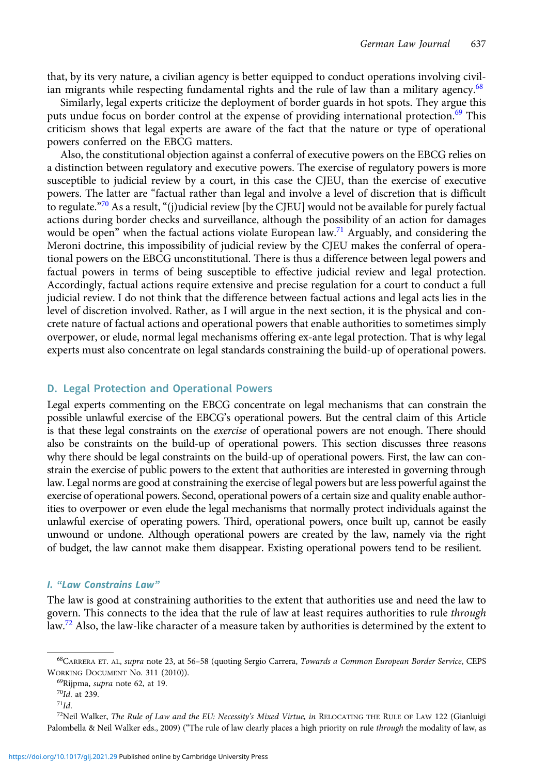that, by its very nature, a civilian agency is better equipped to conduct operations involving civilian migrants while respecting fundamental rights and the rule of law than a military agency.<sup>68</sup>

Similarly, legal experts criticize the deployment of border guards in hot spots. They argue this puts undue focus on border control at the expense of providing international protection.<sup>69</sup> This criticism shows that legal experts are aware of the fact that the nature or type of operational powers conferred on the EBCG matters.

Also, the constitutional objection against a conferral of executive powers on the EBCG relies on a distinction between regulatory and executive powers. The exercise of regulatory powers is more susceptible to judicial review by a court, in this case the CJEU, than the exercise of executive powers. The latter are "factual rather than legal and involve a level of discretion that is difficult to regulate."<sup>70</sup> As a result, "(j)udicial review [by the CJEU] would not be available for purely factual actions during border checks and surveillance, although the possibility of an action for damages would be open" when the factual actions violate European law.<sup>71</sup> Arguably, and considering the Meroni doctrine, this impossibility of judicial review by the CJEU makes the conferral of operational powers on the EBCG unconstitutional. There is thus a difference between legal powers and factual powers in terms of being susceptible to effective judicial review and legal protection. Accordingly, factual actions require extensive and precise regulation for a court to conduct a full judicial review. I do not think that the difference between factual actions and legal acts lies in the level of discretion involved. Rather, as I will argue in the next section, it is the physical and concrete nature of factual actions and operational powers that enable authorities to sometimes simply overpower, or elude, normal legal mechanisms offering ex-ante legal protection. That is why legal experts must also concentrate on legal standards constraining the build-up of operational powers.

#### D. Legal Protection and Operational Powers

Legal experts commenting on the EBCG concentrate on legal mechanisms that can constrain the possible unlawful exercise of the EBCG's operational powers. But the central claim of this Article is that these legal constraints on the *exercise* of operational powers are not enough. There should also be constraints on the build-up of operational powers. This section discusses three reasons why there should be legal constraints on the build-up of operational powers. First, the law can constrain the exercise of public powers to the extent that authorities are interested in governing through law. Legal norms are good at constraining the exercise of legal powers but are less powerful against the exercise of operational powers. Second, operational powers of a certain size and quality enable authorities to overpower or even elude the legal mechanisms that normally protect individuals against the unlawful exercise of operating powers. Third, operational powers, once built up, cannot be easily unwound or undone. Although operational powers are created by the law, namely via the right of budget, the law cannot make them disappear. Existing operational powers tend to be resilient.

#### I. "Law Constrains Law"

The law is good at constraining authorities to the extent that authorities use and need the law to govern. This connects to the idea that the rule of law at least requires authorities to rule through law.<sup>72</sup> Also, the law-like character of a measure taken by authorities is determined by the extent to

<sup>&</sup>lt;sup>68</sup>CARRERA ET. AL, supra note 23, at 56–58 (quoting Sergio Carrera, Towards a Common European Border Service, CEPS WORKING DOCUMENT No. 311 (2010)).

<sup>69</sup>Rijpma, supra note 62, at 19.

 $70$ Id. at 239.

 $71$ Id.

<sup>&</sup>lt;sup>72</sup>Neil Walker, The Rule of Law and the EU: Necessity's Mixed Virtue, in RELOCATING THE RULE OF LAW 122 (Gianluigi Palombella & Neil Walker eds., 2009) ("The rule of law clearly places a high priority on rule through the modality of law, as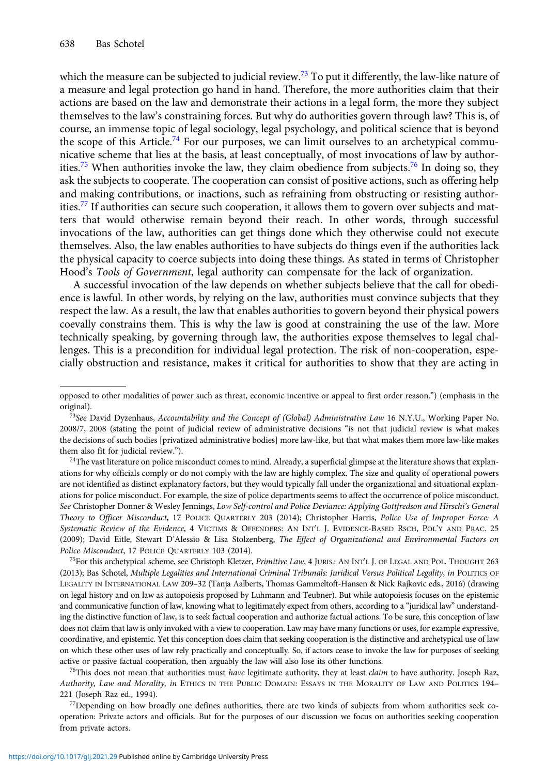which the measure can be subjected to judicial review.<sup>73</sup> To put it differently, the law-like nature of a measure and legal protection go hand in hand. Therefore, the more authorities claim that their actions are based on the law and demonstrate their actions in a legal form, the more they subject themselves to the law's constraining forces. But why do authorities govern through law? This is, of course, an immense topic of legal sociology, legal psychology, and political science that is beyond the scope of this Article.<sup>74</sup> For our purposes, we can limit ourselves to an archetypical communicative scheme that lies at the basis, at least conceptually, of most invocations of law by authorities.<sup>75</sup> When authorities invoke the law, they claim obedience from subjects.<sup>76</sup> In doing so, they ask the subjects to cooperate. The cooperation can consist of positive actions, such as offering help and making contributions, or inactions, such as refraining from obstructing or resisting authorities.<sup>77</sup> If authorities can secure such cooperation, it allows them to govern over subjects and matters that would otherwise remain beyond their reach. In other words, through successful invocations of the law, authorities can get things done which they otherwise could not execute themselves. Also, the law enables authorities to have subjects do things even if the authorities lack the physical capacity to coerce subjects into doing these things. As stated in terms of Christopher Hood's Tools of Government, legal authority can compensate for the lack of organization.

A successful invocation of the law depends on whether subjects believe that the call for obedience is lawful. In other words, by relying on the law, authorities must convince subjects that they respect the law. As a result, the law that enables authorities to govern beyond their physical powers coevally constrains them. This is why the law is good at constraining the use of the law. More technically speaking, by governing through law, the authorities expose themselves to legal challenges. This is a precondition for individual legal protection. The risk of non-cooperation, especially obstruction and resistance, makes it critical for authorities to show that they are acting in

 $74$ The vast literature on police misconduct comes to mind. Already, a superficial glimpse at the literature shows that explanations for why officials comply or do not comply with the law are highly complex. The size and quality of operational powers are not identified as distinct explanatory factors, but they would typically fall under the organizational and situational explanations for police misconduct. For example, the size of police departments seems to affect the occurrence of police misconduct. See Christopher Donner & Wesley Jennings, Low Self-control and Police Deviance: Applying Gottfredson and Hirschi's General Theory to Officer Misconduct, 17 POLICE QUARTERLY 203 (2014); Christopher Harris, Police Use of Improper Force: A Systematic Review of the Evidence, 4 VICTIMS & OFFENDERS: AN INT'L J. EVIDENCE-BASED RSCH, POL'Y AND PRAC. 25 (2009); David Eitle, Stewart D'Alessio & Lisa Stolzenberg, The Effect of Organizational and Environmental Factors on Police Misconduct, 17 POLICE QUARTERLY 103 (2014).

<sup>75</sup>For this archetypical scheme, see Christoph Kletzer, Primitive Law, 4 JURIS.: AN INT'L J. OF LEGAL AND POL. THOUGHT 263 (2013); Bas Schotel, Multiple Legalities and International Criminal Tribunals: Juridical Versus Political Legality, in POLITICS OF LEGALITY IN INTERNATIONAL LAW 209–32 (Tanja Aalberts, Thomas Gammeltoft-Hansen & Nick Rajkovic eds., 2016) (drawing on legal history and on law as autopoiesis proposed by Luhmann and Teubner). But while autopoiesis focuses on the epistemic and communicative function of law, knowing what to legitimately expect from others, according to a "juridical law" understanding the distinctive function of law, is to seek factual cooperation and authorize factual actions. To be sure, this conception of law does not claim that law is only invoked with a view to cooperation. Law may have many functions or uses, for example expressive, coordinative, and epistemic. Yet this conception does claim that seeking cooperation is the distinctive and archetypical use of law on which these other uses of law rely practically and conceptually. So, if actors cease to invoke the law for purposes of seeking active or passive factual cooperation, then arguably the law will also lose its other functions.

<sup>76</sup>This does not mean that authorities must *have* legitimate authority, they at least *claim* to have authority. Joseph Raz, Authority, Law and Morality, in ETHICS IN THE PUBLIC DOMAIN: ESSAYS IN THE MORALITY OF LAW AND POLITICS 194– 221 (Joseph Raz ed., 1994).

77Depending on how broadly one defines authorities, there are two kinds of subjects from whom authorities seek cooperation: Private actors and officials. But for the purposes of our discussion we focus on authorities seeking cooperation from private actors.

opposed to other modalities of power such as threat, economic incentive or appeal to first order reason.") (emphasis in the original).

 $^{73}$ See David Dyzenhaus, Accountability and the Concept of (Global) Administrative Law 16 N.Y.U., Working Paper No. 2008/7, 2008 (stating the point of judicial review of administrative decisions "is not that judicial review is what makes the decisions of such bodies [privatized administrative bodies] more law-like, but that what makes them more law-like makes them also fit for judicial review.").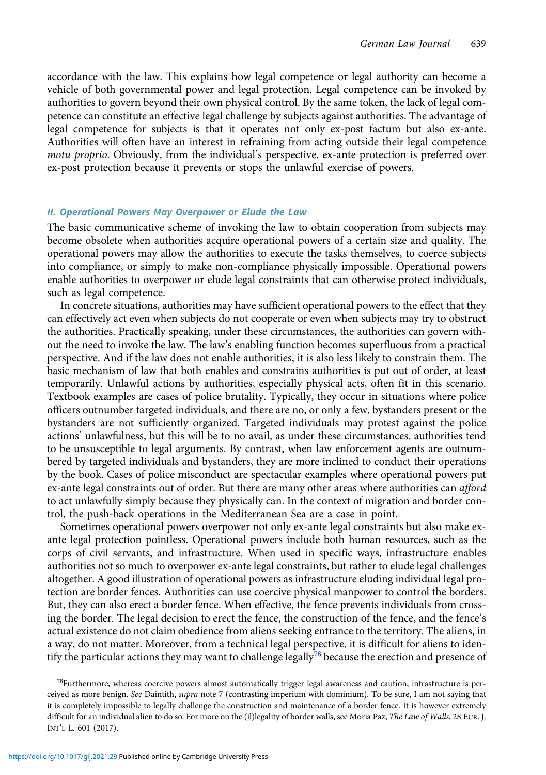accordance with the law. This explains how legal competence or legal authority can become a vehicle of both governmental power and legal protection. Legal competence can be invoked by authorities to govern beyond their own physical control. By the same token, the lack of legal competence can constitute an effective legal challenge by subjects against authorities. The advantage of legal competence for subjects is that it operates not only ex-post factum but also ex-ante. Authorities will often have an interest in refraining from acting outside their legal competence motu proprio. Obviously, from the individual's perspective, ex-ante protection is preferred over ex-post protection because it prevents or stops the unlawful exercise of powers.

#### II. Operational Powers May Overpower or Elude the Law

The basic communicative scheme of invoking the law to obtain cooperation from subjects may become obsolete when authorities acquire operational powers of a certain size and quality. The operational powers may allow the authorities to execute the tasks themselves, to coerce subjects into compliance, or simply to make non-compliance physically impossible. Operational powers enable authorities to overpower or elude legal constraints that can otherwise protect individuals, such as legal competence.

In concrete situations, authorities may have sufficient operational powers to the effect that they can effectively act even when subjects do not cooperate or even when subjects may try to obstruct the authorities. Practically speaking, under these circumstances, the authorities can govern without the need to invoke the law. The law's enabling function becomes superfluous from a practical perspective. And if the law does not enable authorities, it is also less likely to constrain them. The basic mechanism of law that both enables and constrains authorities is put out of order, at least temporarily. Unlawful actions by authorities, especially physical acts, often fit in this scenario. Textbook examples are cases of police brutality. Typically, they occur in situations where police officers outnumber targeted individuals, and there are no, or only a few, bystanders present or the bystanders are not sufficiently organized. Targeted individuals may protest against the police actions' unlawfulness, but this will be to no avail, as under these circumstances, authorities tend to be unsusceptible to legal arguments. By contrast, when law enforcement agents are outnumbered by targeted individuals and bystanders, they are more inclined to conduct their operations by the book. Cases of police misconduct are spectacular examples where operational powers put ex-ante legal constraints out of order. But there are many other areas where authorities can afford to act unlawfully simply because they physically can. In the context of migration and border control, the push-back operations in the Mediterranean Sea are a case in point.

Sometimes operational powers overpower not only ex-ante legal constraints but also make exante legal protection pointless. Operational powers include both human resources, such as the corps of civil servants, and infrastructure. When used in specific ways, infrastructure enables authorities not so much to overpower ex-ante legal constraints, but rather to elude legal challenges altogether. A good illustration of operational powers as infrastructure eluding individual legal protection are border fences. Authorities can use coercive physical manpower to control the borders. But, they can also erect a border fence. When effective, the fence prevents individuals from crossing the border. The legal decision to erect the fence, the construction of the fence, and the fence's actual existence do not claim obedience from aliens seeking entrance to the territory. The aliens, in a way, do not matter. Moreover, from a technical legal perspective, it is difficult for aliens to identify the particular actions they may want to challenge legally<sup>78</sup> because the erection and presence of

<sup>&</sup>lt;sup>78</sup>Furthermore, whereas coercive powers almost automatically trigger legal awareness and caution, infrastructure is perceived as more benign. See Daintith, supra note 7 (contrasting imperium with dominium). To be sure, I am not saying that it is completely impossible to legally challenge the construction and maintenance of a border fence. It is however extremely difficult for an individual alien to do so. For more on the (il)legality of border walls, see Moria Paz, The Law of Walls, 28 EUR. J. INT'L L. 601 (2017).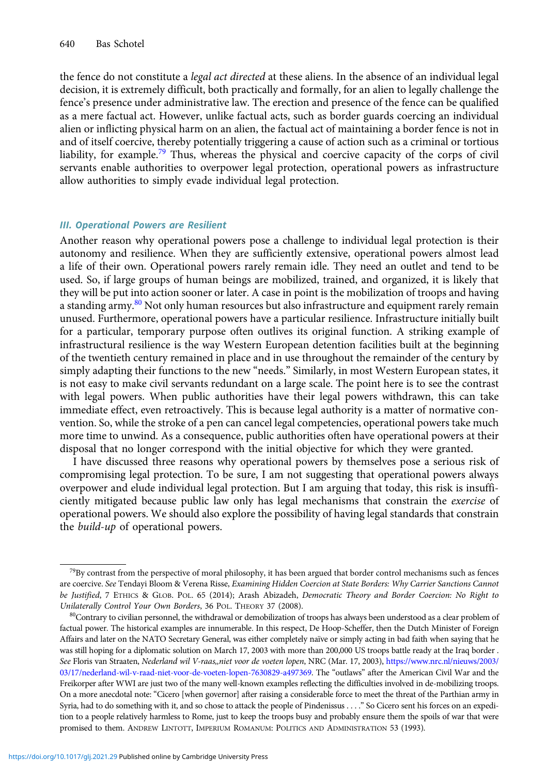the fence do not constitute a *legal act directed* at these aliens. In the absence of an individual legal decision, it is extremely difficult, both practically and formally, for an alien to legally challenge the fence's presence under administrative law. The erection and presence of the fence can be qualified as a mere factual act. However, unlike factual acts, such as border guards coercing an individual alien or inflicting physical harm on an alien, the factual act of maintaining a border fence is not in and of itself coercive, thereby potentially triggering a cause of action such as a criminal or tortious liability, for example.<sup>79</sup> Thus, whereas the physical and coercive capacity of the corps of civil servants enable authorities to overpower legal protection, operational powers as infrastructure allow authorities to simply evade individual legal protection.

#### III. Operational Powers are Resilient

Another reason why operational powers pose a challenge to individual legal protection is their autonomy and resilience. When they are sufficiently extensive, operational powers almost lead a life of their own. Operational powers rarely remain idle. They need an outlet and tend to be used. So, if large groups of human beings are mobilized, trained, and organized, it is likely that they will be put into action sooner or later. A case in point is the mobilization of troops and having a standing army.<sup>80</sup> Not only human resources but also infrastructure and equipment rarely remain unused. Furthermore, operational powers have a particular resilience. Infrastructure initially built for a particular, temporary purpose often outlives its original function. A striking example of infrastructural resilience is the way Western European detention facilities built at the beginning of the twentieth century remained in place and in use throughout the remainder of the century by simply adapting their functions to the new "needs." Similarly, in most Western European states, it is not easy to make civil servants redundant on a large scale. The point here is to see the contrast with legal powers. When public authorities have their legal powers withdrawn, this can take immediate effect, even retroactively. This is because legal authority is a matter of normative convention. So, while the stroke of a pen can cancel legal competencies, operational powers take much more time to unwind. As a consequence, public authorities often have operational powers at their disposal that no longer correspond with the initial objective for which they were granted.

I have discussed three reasons why operational powers by themselves pose a serious risk of compromising legal protection. To be sure, I am not suggesting that operational powers always overpower and elude individual legal protection. But I am arguing that today, this risk is insufficiently mitigated because public law only has legal mechanisms that constrain the exercise of operational powers. We should also explore the possibility of having legal standards that constrain the build-up of operational powers.

 $^{79}$ By contrast from the perspective of moral philosophy, it has been argued that border control mechanisms such as fences are coercive. See Tendayi Bloom & Verena Risse, Examining Hidden Coercion at State Borders: Why Carrier Sanctions Cannot be Justified, 7 ETHICS & GLOB. POL. 65 (2014); Arash Abizadeh, Democratic Theory and Border Coercion: No Right to Unilaterally Control Your Own Borders, 36 POL. THEORY 37 (2008).

<sup>&</sup>lt;sup>80</sup>Contrary to civilian personnel, the withdrawal or demobilization of troops has always been understood as a clear problem of factual power. The historical examples are innumerable. In this respect, De Hoop-Scheffer, then the Dutch Minister of Foreign Affairs and later on the NATO Secretary General, was either completely naïve or simply acting in bad faith when saying that he was still hoping for a diplomatic solution on March 17, 2003 with more than 200,000 US troops battle ready at the Iraq border . See Floris van Straaten, Nederland wil V-raas,,niet voor de voeten lopen, NRC (Mar. 17, 2003), [https://www.nrc.nl/nieuws/2003/](https://www.nrc.nl/nieuws/2003/03/17/nederland-wil-v-raad-niet-voor-de-voeten-lopen-7630829-a497369) [03/17/nederland-wil-v-raad-niet-voor-de-voeten-lopen-7630829-a497369](https://www.nrc.nl/nieuws/2003/03/17/nederland-wil-v-raad-niet-voor-de-voeten-lopen-7630829-a497369). The "outlaws" after the American Civil War and the Freikorper after WWI are just two of the many well-known examples reflecting the difficulties involved in de-mobilizing troops. On a more anecdotal note: "Cicero [when governor] after raising a considerable force to meet the threat of the Parthian army in Syria, had to do something with it, and so chose to attack the people of Pindenissus . . . ." So Cicero sent his forces on an expedition to a people relatively harmless to Rome, just to keep the troops busy and probably ensure them the spoils of war that were promised to them. ANDREW LINTOTT, IMPERIUM ROMANUM: POLITICS AND ADMINISTRATION 53 (1993).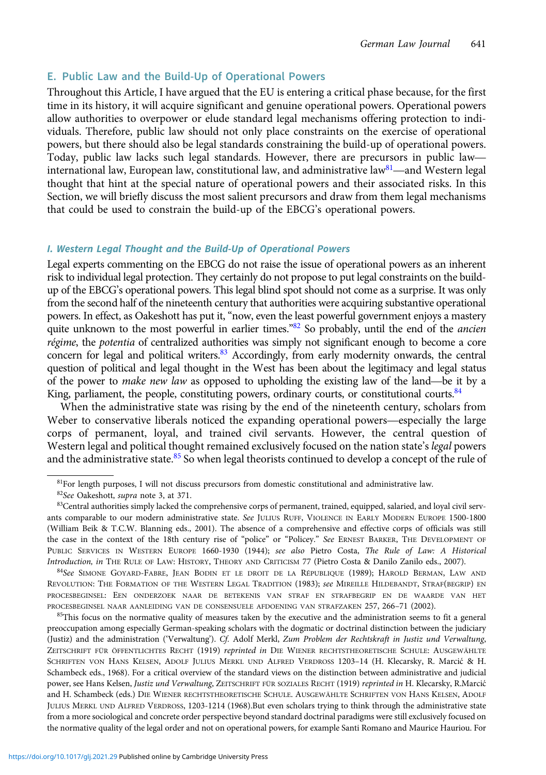#### E. Public Law and the Build-Up of Operational Powers

Throughout this Article, I have argued that the EU is entering a critical phase because, for the first time in its history, it will acquire significant and genuine operational powers. Operational powers allow authorities to overpower or elude standard legal mechanisms offering protection to individuals. Therefore, public law should not only place constraints on the exercise of operational powers, but there should also be legal standards constraining the build-up of operational powers. Today, public law lacks such legal standards. However, there are precursors in public law international law, European law, constitutional law, and administrative law<sup>81</sup>—and Western legal thought that hint at the special nature of operational powers and their associated risks. In this Section, we will briefly discuss the most salient precursors and draw from them legal mechanisms that could be used to constrain the build-up of the EBCG's operational powers.

#### I. Western Legal Thought and the Build-Up of Operational Powers

Legal experts commenting on the EBCG do not raise the issue of operational powers as an inherent risk to individual legal protection. They certainly do not propose to put legal constraints on the buildup of the EBCG's operational powers. This legal blind spot should not come as a surprise. It was only from the second half of the nineteenth century that authorities were acquiring substantive operational powers. In effect, as Oakeshott has put it, "now, even the least powerful government enjoys a mastery quite unknown to the most powerful in earlier times."<sup>82</sup> So probably, until the end of the *ancien* régime, the potentia of centralized authorities was simply not significant enough to become a core concern for legal and political writers. $83$  Accordingly, from early modernity onwards, the central question of political and legal thought in the West has been about the legitimacy and legal status of the power to *make new law* as opposed to upholding the existing law of the land—be it by a King, parliament, the people, constituting powers, ordinary courts, or constitutional courts.<sup>84</sup>

When the administrative state was rising by the end of the nineteenth century, scholars from Weber to conservative liberals noticed the expanding operational powers—especially the large corps of permanent, loyal, and trained civil servants. However, the central question of Western legal and political thought remained exclusively focused on the nation state's legal powers and the administrative state.<sup>85</sup> So when legal theorists continued to develop a concept of the rule of

<sup>84</sup>See SIMONE GOYARD-FABRE, JEAN BODIN ET LE DROIT DE LA RÉPUBLIQUE (1989); HAROLD BERMAN, LAW AND REVOLUTION: THE FORMATION OF THE WESTERN LEGAL TRADITION (1983); see MIREILLE HILDEBANDT, STRAF(BEGRIP) EN PROCESBEGINSEL: EEN ONDERZOEK NAAR DE BETEKENIS VAN STRAF EN STRAFBEGRIP EN DE WAARDE VAN HET PROCESBEGINSEL NAAR AANLEIDING VAN DE CONSENSUELE AFDOENING VAN STRAFZAKEN 257, 266–71 (2002).

<sup>85</sup>This focus on the normative quality of measures taken by the executive and the administration seems to fit a general preoccupation among especially German-speaking scholars with the dogmatic or doctrinal distinction between the judiciary (Justiz) and the administration ('Verwaltung'). Cf. Adolf Merkl, Zum Problem der Rechtskraft in Justiz und Verwaltung, ZEITSCHRIFT FÜR ÖFFENTLICHTES RECHT (1919) reprinted in DIE WIENER RECHTSTHEORETISCHE SCHULE: AUSGEWÄHLTE SCHRIFTEN VON HANS KELSEN, ADOLF JULIUS MERKL UND ALFRED VERDROSS 1203–14 (H. Klecarsky, R. Marci´c & H. Schambeck eds., 1968). For a critical overview of the standard views on the distinction between administrative and judicial power, see Hans Kelsen, Justiz und Verwaltung, ZEITSCHRIFT FÜR SOZIALES RECHT (1919) reprinted in H. Klecarsky, R.Marcić and H. Schambeck (eds.) DIE WIENER RECHTSTHEORETISCHE SCHULE. AUSGEWÄHLTE SCHRIFTEN VON HANS KELSEN, ADOLF JULIUS MERKL UND ALFRED VERDROSS, 1203-1214 (1968).But even scholars trying to think through the administrative state from a more sociological and concrete order perspective beyond standard doctrinal paradigms were still exclusively focused on the normative quality of the legal order and not on operational powers, for example Santi Romano and Maurice Hauriou. For

<sup>&</sup>lt;sup>81</sup>For length purposes, I will not discuss precursors from domestic constitutional and administrative law.

<sup>82</sup>See Oakeshott, supra note 3, at 371.

<sup>83</sup>Central authorities simply lacked the comprehensive corps of permanent, trained, equipped, salaried, and loyal civil servants comparable to our modern administrative state. See JULIUS RUFF, VIOLENCE IN EARLY MODERN EUROPE 1500-1800 (William Beik & T.C.W. Blanning eds., 2001). The absence of a comprehensive and effective corps of officials was still the case in the context of the 18th century rise of "police" or "Policey." See ERNEST BARKER, THE DEVELOPMENT OF PUBLIC SERVICES IN WESTERN EUROPE 1660-1930 (1944); see also Pietro Costa, The Rule of Law: A Historical Introduction, in THE RULE OF LAW: HISTORY, THEORY AND CRITICISM 77 (Pietro Costa & Danilo Zanilo eds., 2007).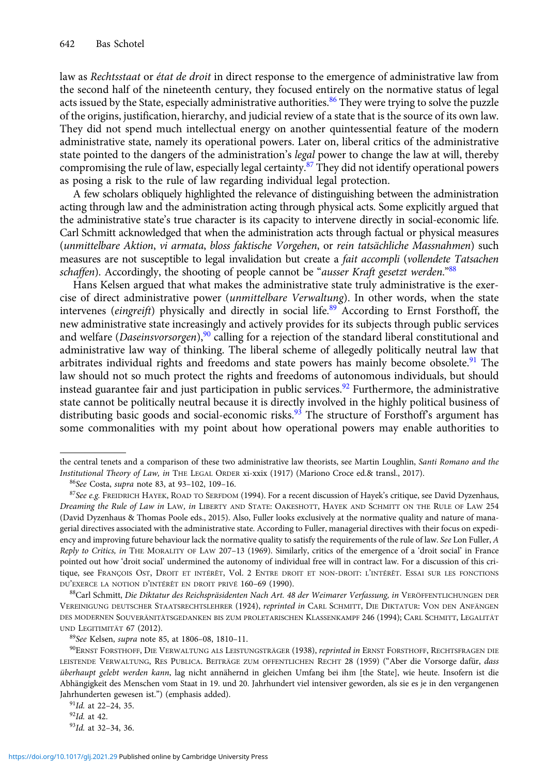law as Rechtsstaat or état de droit in direct response to the emergence of administrative law from the second half of the nineteenth century, they focused entirely on the normative status of legal acts issued by the State, especially administrative authorities.<sup>86</sup> They were trying to solve the puzzle of the origins, justification, hierarchy, and judicial review of a state that is the source of its own law. They did not spend much intellectual energy on another quintessential feature of the modern administrative state, namely its operational powers. Later on, liberal critics of the administrative state pointed to the dangers of the administration's *legal* power to change the law at will, thereby compromising the rule of law, especially legal certainty.<sup>87</sup> They did not identify operational powers as posing a risk to the rule of law regarding individual legal protection.

A few scholars obliquely highlighted the relevance of distinguishing between the administration acting through law and the administration acting through physical acts. Some explicitly argued that the administrative state's true character is its capacity to intervene directly in social-economic life. Carl Schmitt acknowledged that when the administration acts through factual or physical measures (unmittelbare Aktion, vi armata, bloss faktische Vorgehen, or rein tatsächliche Massnahmen) such measures are not susceptible to legal invalidation but create a fait accompli (vollendete Tatsachen schaffen). Accordingly, the shooting of people cannot be "*ausser Kraft gesetzt werden*."<sup>88</sup>

Hans Kelsen argued that what makes the administrative state truly administrative is the exercise of direct administrative power (unmittelbare Verwaltung). In other words, when the state intervenes (eingreift) physically and directly in social life.<sup>89</sup> According to Ernst Forsthoff, the new administrative state increasingly and actively provides for its subjects through public services and welfare (*Daseinsvorsorgen*),<sup>90</sup> calling for a rejection of the standard liberal constitutional and administrative law way of thinking. The liberal scheme of allegedly politically neutral law that arbitrates individual rights and freedoms and state powers has mainly become obsolete.<sup>91</sup> The law should not so much protect the rights and freedoms of autonomous individuals, but should instead guarantee fair and just participation in public services.<sup>92</sup> Furthermore, the administrative state cannot be politically neutral because it is directly involved in the highly political business of distributing basic goods and social-economic risks.<sup>93</sup> The structure of Forsthoff's argument has some commonalities with my point about how operational powers may enable authorities to

<sup>88</sup>Carl Schmitt, Die Diktatur des Reichspräsidenten Nach Art. 48 der Weimarer Verfassung, in VERÖFFENTLICHUNGEN DER VEREINIGUNG DEUTSCHER STAATSRECHTSLEHRER (1924), reprinted in CARL SCHMITT, DIE DIKTATUR: VON DEN ANFÄNGEN DES MODERNEN SOUVERÄNITÄTSGEDANKEN BIS ZUM PROLETARISCHEN KLASSENKAMPF 246 (1994); CARL SCHMITT, LEGALITÄT UND LEGITIMITÄT 67 (2012).

<sup>89</sup>See Kelsen, supra note 85, at 1806–08, 1810–11.

the central tenets and a comparison of these two administrative law theorists, see Martin Loughlin, Santi Romano and the Institutional Theory of Law, in THE LEGAL ORDER xi-xxix (1917) (Mariono Croce ed.& transl., 2017).

<sup>86</sup>See Costa, *supra* note 83, at 93-102, 109-16.

 $87$ See e.g. FREIDRICH HAYEK, ROAD TO SERFDOM (1994). For a recent discussion of Hayek's critique, see David Dyzenhaus, Dreaming the Rule of Law in LAW, in LIBERTY AND STATE: OAKESHOTT, HAYEK AND SCHMITT ON THE RULE OF LAW 254 (David Dyzenhaus & Thomas Poole eds., 2015). Also, Fuller looks exclusively at the normative quality and nature of managerial directives associated with the administrative state. According to Fuller, managerial directives with their focus on expediency and improving future behaviour lack the normative quality to satisfy the requirements of the rule of law. See Lon Fuller, A Reply to Critics, in THE MORALITY OF LAW 207–13 (1969). Similarly, critics of the emergence of a 'droit social' in France pointed out how 'droit social' undermined the autonomy of individual free will in contract law. For a discussion of this critique, see FRANÇOIS OST, DROIT ET INTÉRÊT, Vol. 2 ENTRE DROIT ET NON-DROIT: L'INTÉRÊT. ESSAI SUR LES FONCTIONS DU'EXERCE LA NOTION D'INTÉRÊT EN DROIT PRIVÉ 160–69 (1990).

<sup>90</sup>ERNST FORSTHOFF, DIE VERWALTUNG ALS LEISTUNGSTRÄGER (1938), reprinted in ERNST FORSTHOFF, RECHTSFRAGEN DIE LEISTENDE VERWALTUNG, RES PUBLICA. BEITRÄGE ZUM OFFENTLICHEN RECHT 28 (1959) ("Aber die Vorsorge dafür, dass überhaupt gelebt werden kann, lag nicht annähernd in gleichen Umfang bei ihm [the State], wie heute. Insofern ist die Abhängigkeit des Menschen vom Staat in 19. und 20. Jahrhundert viel intensiver geworden, als sie es je in den vergangenen Jahrhunderten gewesen ist.") (emphasis added).

 $91$ Id. at 22-24, 35.

 $92$ Id. at 42.

<sup>93</sup>Id. at 32–34, 36.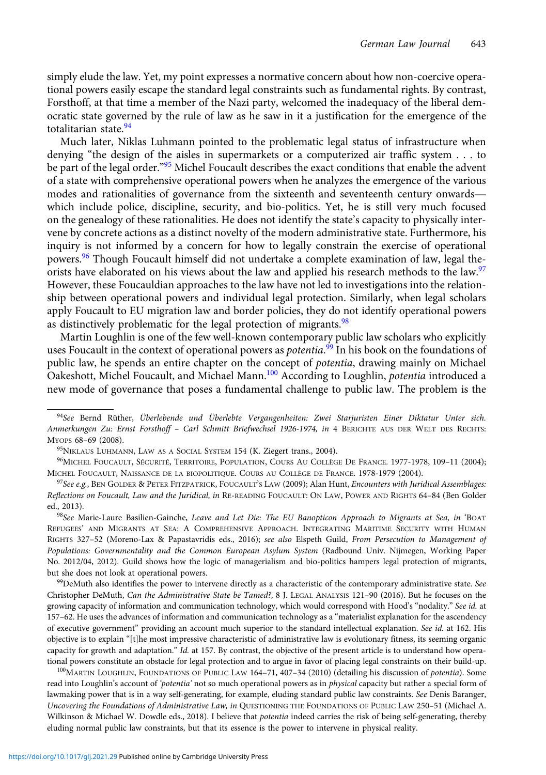simply elude the law. Yet, my point expresses a normative concern about how non-coercive operational powers easily escape the standard legal constraints such as fundamental rights. By contrast, Forsthoff, at that time a member of the Nazi party, welcomed the inadequacy of the liberal democratic state governed by the rule of law as he saw in it a justification for the emergence of the totalitarian state.<sup>94</sup>

Much later, Niklas Luhmann pointed to the problematic legal status of infrastructure when denying "the design of the aisles in supermarkets or a computerized air traffic system . . . to be part of the legal order."<sup>95</sup> Michel Foucault describes the exact conditions that enable the advent of a state with comprehensive operational powers when he analyzes the emergence of the various modes and rationalities of governance from the sixteenth and seventeenth century onwards which include police, discipline, security, and bio-politics. Yet, he is still very much focused on the genealogy of these rationalities. He does not identify the state's capacity to physically intervene by concrete actions as a distinct novelty of the modern administrative state. Furthermore, his inquiry is not informed by a concern for how to legally constrain the exercise of operational powers.<sup>96</sup> Though Foucault himself did not undertake a complete examination of law, legal theorists have elaborated on his views about the law and applied his research methods to the law.<sup>97</sup> However, these Foucauldian approaches to the law have not led to investigations into the relationship between operational powers and individual legal protection. Similarly, when legal scholars apply Foucault to EU migration law and border policies, they do not identify operational powers as distinctively problematic for the legal protection of migrants.<sup>98</sup>

Martin Loughlin is one of the few well-known contemporary public law scholars who explicitly uses Foucault in the context of operational powers as *potentia.<sup>99</sup> In his book on the foundations of* public law, he spends an entire chapter on the concept of potentia, drawing mainly on Michael Oakeshott, Michel Foucault, and Michael Mann.<sup>100</sup> According to Loughlin, *potentia* introduced a new mode of governance that poses a fundamental challenge to public law. The problem is the

<sup>95</sup>NIKLAUS LUHMANN, LAW AS A SOCIAL SYSTEM 154 (K. Ziegert trans., 2004).

98See Marie-Laure Basilien-Gainche, Leave and Let Die: The EU Banopticon Approach to Migrants at Sea, in 'BOAT REFUGEES' AND MIGRANTS AT SEA: A COMPREHENSIVE APPROACH. INTEGRATING MARITIME SECURITY WITH HUMAN RIGHTS 327-52 (Moreno-Lax & Papastavridis eds., 2016); see also Elspeth Guild, From Persecution to Management of Populations: Governmentality and the Common European Asylum System (Radbound Univ. Nijmegen, Working Paper No. 2012/04, 2012). Guild shows how the logic of managerialism and bio-politics hampers legal protection of migrants, but she does not look at operational powers.

99 DeMuth also identifies the power to intervene directly as a characteristic of the contemporary administrative state. See Christopher DeMuth, Can the Administrative State be Tamed?, 8 J. LEGAL ANALYSIS 121–90 (2016). But he focuses on the growing capacity of information and communication technology, which would correspond with Hood's "nodality." See id. at 157–62. He uses the advances of information and communication technology as a "materialist explanation for the ascendency of executive government" providing an account much superior to the standard intellectual explanation. See id. at 162. His objective is to explain "[t]he most impressive characteristic of administrative law is evolutionary fitness, its seeming organic capacity for growth and adaptation." Id. at 157. By contrast, the objective of the present article is to understand how operational powers constitute an obstacle for legal protection and to argue in favor of placing legal constraints on their build-up.

<sup>100</sup>MARTIN LOUGHLIN, FOUNDATIONS OF PUBLIC LAW 164-71, 407-34 (2010) (detailing his discussion of *potentia*). Some read into Loughlin's account of 'potentia' not so much operational powers as in physical capacity but rather a special form of lawmaking power that is in a way self-generating, for example, eluding standard public law constraints. See Denis Baranger, Uncovering the Foundations of Administrative Law, in QUESTIONING THE FOUNDATIONS OF PUBLIC LAW 250–51 (Michael A. Wilkinson & Michael W. Dowdle eds., 2018). I believe that potentia indeed carries the risk of being self-generating, thereby eluding normal public law constraints, but that its essence is the power to intervene in physical reality.

<sup>94</sup>See Bernd Rüther, Überlebende und Überlebte Vergangenheiten: Zwei Starjuristen Einer Diktatur Unter sich. Anmerkungen Zu: Ernst Forsthoff – Carl Schmitt Briefwechsel 1926-1974, in 4 BERICHTE AUS DER WELT DES RECHTS: MYOPS 68–69 (2008).

<sup>96</sup>MICHEL FOUCAULT, SÉCURITÉ, TERRITOIRE, POPULATION, COURS AU COLLÈGE DE FRANCE. 1977-1978, 109–11 (2004); MICHEL FOUCAULT, NAISSANCE DE LA BIOPOLITIQUE. COURS AU COLLÈGE DE FRANCE. 1978-1979 (2004).

 $97$ See e.g., BEN GOLDER & PETER FITZPATRICK, FOUCAULT'S LAW (2009); Alan Hunt, Encounters with Juridical Assemblages: Reflections on Foucault, Law and the Juridical, in RE-READING FOUCAULT: ON LAW, POWER AND RIGHTS 64–84 (Ben Golder ed., 2013).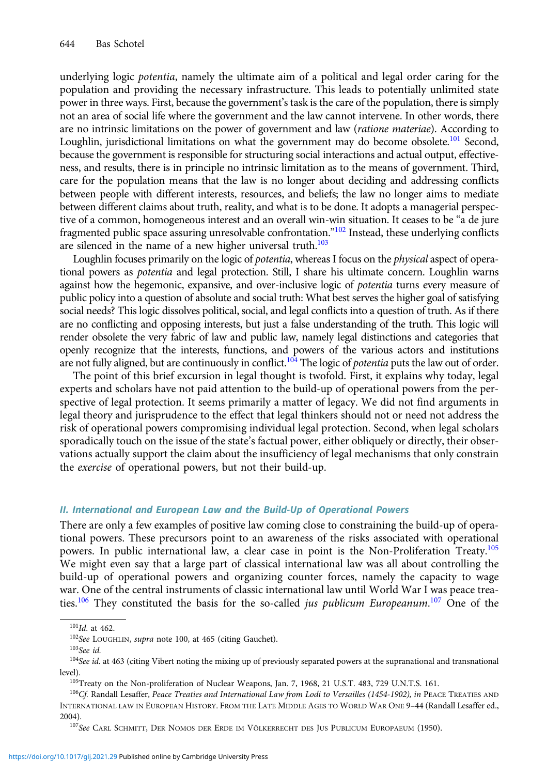underlying logic potentia, namely the ultimate aim of a political and legal order caring for the population and providing the necessary infrastructure. This leads to potentially unlimited state power in three ways. First, because the government's task is the care of the population, there is simply not an area of social life where the government and the law cannot intervene. In other words, there are no intrinsic limitations on the power of government and law (*ratione materiae*). According to Loughlin, jurisdictional limitations on what the government may do become obsolete.<sup>101</sup> Second, because the government is responsible for structuring social interactions and actual output, effectiveness, and results, there is in principle no intrinsic limitation as to the means of government. Third, care for the population means that the law is no longer about deciding and addressing conflicts between people with different interests, resources, and beliefs; the law no longer aims to mediate between different claims about truth, reality, and what is to be done. It adopts a managerial perspective of a common, homogeneous interest and an overall win-win situation. It ceases to be "a de jure fragmented public space assuring unresolvable confrontation."<sup>102</sup> Instead, these underlying conflicts are silenced in the name of a new higher universal truth. $103$ 

Loughlin focuses primarily on the logic of *potentia*, whereas I focus on the *physical* aspect of operational powers as potentia and legal protection. Still, I share his ultimate concern. Loughlin warns against how the hegemonic, expansive, and over-inclusive logic of potentia turns every measure of public policy into a question of absolute and social truth: What best serves the higher goal of satisfying social needs? This logic dissolves political, social, and legal conflicts into a question of truth. As if there are no conflicting and opposing interests, but just a false understanding of the truth. This logic will render obsolete the very fabric of law and public law, namely legal distinctions and categories that openly recognize that the interests, functions, and powers of the various actors and institutions are not fully aligned, but are continuously in conflict.<sup>104</sup> The logic of potentia puts the law out of order.

The point of this brief excursion in legal thought is twofold. First, it explains why today, legal experts and scholars have not paid attention to the build-up of operational powers from the perspective of legal protection. It seems primarily a matter of legacy. We did not find arguments in legal theory and jurisprudence to the effect that legal thinkers should not or need not address the risk of operational powers compromising individual legal protection. Second, when legal scholars sporadically touch on the issue of the state's factual power, either obliquely or directly, their observations actually support the claim about the insufficiency of legal mechanisms that only constrain the exercise of operational powers, but not their build-up.

#### II. International and European Law and the Build-Up of Operational Powers

There are only a few examples of positive law coming close to constraining the build-up of operational powers. These precursors point to an awareness of the risks associated with operational powers. In public international law, a clear case in point is the Non-Proliferation Treaty.<sup>105</sup> We might even say that a large part of classical international law was all about controlling the build-up of operational powers and organizing counter forces, namely the capacity to wage war. One of the central instruments of classic international law until World War I was peace treaties.<sup>106</sup> They constituted the basis for the so-called *jus publicum Europeanum*.<sup>107</sup> One of the

 $101$ Id. at 462.

<sup>&</sup>lt;sup>102</sup>See LOUGHLIN, supra note 100, at 465 (citing Gauchet).

<sup>103</sup>See id.

 $104$ See id. at 463 (citing Vibert noting the mixing up of previously separated powers at the supranational and transnational level).

<sup>105</sup>Treaty on the Non-proliferation of Nuclear Weapons, Jan. 7, 1968, 21 U.S.T. 483, 729 U.N.T.S. 161.

<sup>&</sup>lt;sup>106</sup>Cf. Randall Lesaffer, Peace Treaties and International Law from Lodi to Versailles (1454-1902), in PEACE TREATIES AND INTERNATIONAL LAW IN EUROPEAN HISTORY. FROM THE LATE MIDDLE AGES TO WORLD WAR ONE 9–44 (Randall Lesaffer ed., 2004).

<sup>107</sup> See CARL SCHMITT, DER NOMOS DER ERDE IM VÖLKERRECHT DES JUS PUBLICUM EUROPAEUM (1950).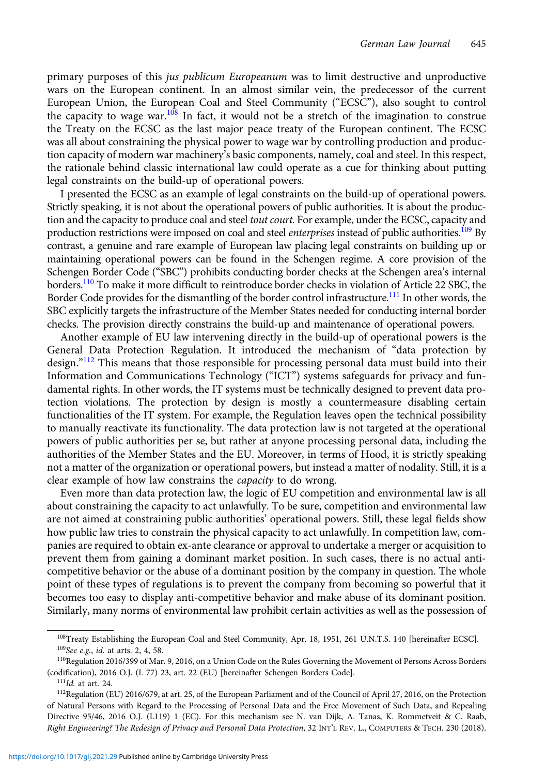primary purposes of this jus publicum Europeanum was to limit destructive and unproductive wars on the European continent. In an almost similar vein, the predecessor of the current European Union, the European Coal and Steel Community ("ECSC"), also sought to control the capacity to wage war.<sup>108</sup> In fact, it would not be a stretch of the imagination to construe the Treaty on the ECSC as the last major peace treaty of the European continent. The ECSC was all about constraining the physical power to wage war by controlling production and production capacity of modern war machinery's basic components, namely, coal and steel. In this respect, the rationale behind classic international law could operate as a cue for thinking about putting legal constraints on the build-up of operational powers.

I presented the ECSC as an example of legal constraints on the build-up of operational powers. Strictly speaking, it is not about the operational powers of public authorities. It is about the production and the capacity to produce coal and steel *tout court*. For example, under the ECSC, capacity and production restrictions were imposed on coal and steel *enterprises* instead of public authorities.<sup>109</sup> By contrast, a genuine and rare example of European law placing legal constraints on building up or maintaining operational powers can be found in the Schengen regime. A core provision of the Schengen Border Code ("SBC") prohibits conducting border checks at the Schengen area's internal borders.<sup>110</sup> To make it more difficult to reintroduce border checks in violation of Article 22 SBC, the Border Code provides for the dismantling of the border control infrastructure.<sup>111</sup> In other words, the SBC explicitly targets the infrastructure of the Member States needed for conducting internal border checks. The provision directly constrains the build-up and maintenance of operational powers.

Another example of EU law intervening directly in the build-up of operational powers is the General Data Protection Regulation. It introduced the mechanism of "data protection by design."<sup>112</sup> This means that those responsible for processing personal data must build into their Information and Communications Technology ("ICT") systems safeguards for privacy and fundamental rights. In other words, the IT systems must be technically designed to prevent data protection violations. The protection by design is mostly a countermeasure disabling certain functionalities of the IT system. For example, the Regulation leaves open the technical possibility to manually reactivate its functionality. The data protection law is not targeted at the operational powers of public authorities per se, but rather at anyone processing personal data, including the authorities of the Member States and the EU. Moreover, in terms of Hood, it is strictly speaking not a matter of the organization or operational powers, but instead a matter of nodality. Still, it is a clear example of how law constrains the capacity to do wrong.

Even more than data protection law, the logic of EU competition and environmental law is all about constraining the capacity to act unlawfully. To be sure, competition and environmental law are not aimed at constraining public authorities' operational powers. Still, these legal fields show how public law tries to constrain the physical capacity to act unlawfully. In competition law, companies are required to obtain ex-ante clearance or approval to undertake a merger or acquisition to prevent them from gaining a dominant market position. In such cases, there is no actual anticompetitive behavior or the abuse of a dominant position by the company in question. The whole point of these types of regulations is to prevent the company from becoming so powerful that it becomes too easy to display anti-competitive behavior and make abuse of its dominant position. Similarly, many norms of environmental law prohibit certain activities as well as the possession of

<sup>&</sup>lt;sup>108</sup>Treaty Establishing the European Coal and Steel Community, Apr. 18, 1951, 261 U.N.T.S. 140 [hereinafter ECSC]. <sup>109</sup>See e.g., id. at arts. 2, 4, 58.

<sup>110</sup>Regulation 2016/399 of Mar. 9, 2016, on a Union Code on the Rules Governing the Movement of Persons Across Borders (codification), 2016 O.J. (L 77) 23, art. 22 (EU) [hereinafter Schengen Borders Code].

 $111$ Id. at art. 24.

<sup>112</sup>Regulation (EU) 2016/679, at art. 25, of the European Parliament and of the Council of April 27, 2016, on the Protection of Natural Persons with Regard to the Processing of Personal Data and the Free Movement of Such Data, and Repealing Directive 95/46, 2016 O.J. (L119) 1 (EC). For this mechanism see N. van Dijk, A. Tanas, K. Rommetveit & C. Raab, Right Engineering? The Redesign of Privacy and Personal Data Protection, 32 INT'L REV. L., COMPUTERS & TECH. 230 (2018).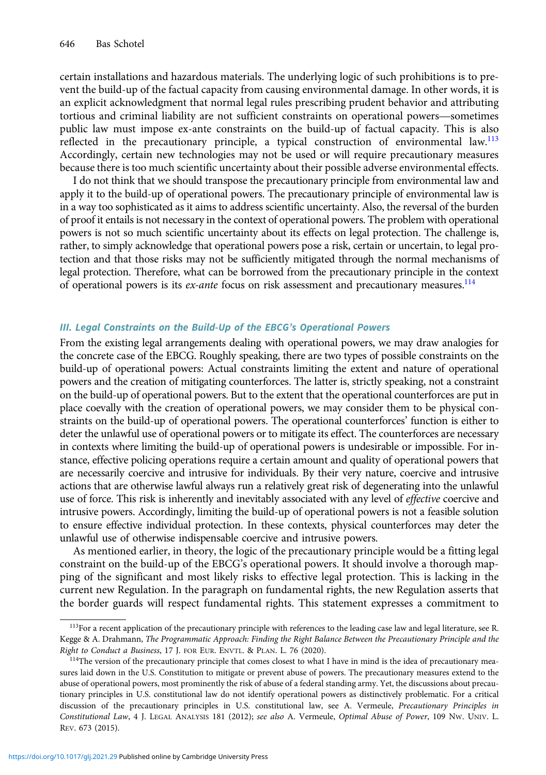certain installations and hazardous materials. The underlying logic of such prohibitions is to prevent the build-up of the factual capacity from causing environmental damage. In other words, it is an explicit acknowledgment that normal legal rules prescribing prudent behavior and attributing tortious and criminal liability are not sufficient constraints on operational powers—sometimes public law must impose ex-ante constraints on the build-up of factual capacity. This is also reflected in the precautionary principle, a typical construction of environmental law.<sup>113</sup> Accordingly, certain new technologies may not be used or will require precautionary measures because there is too much scientific uncertainty about their possible adverse environmental effects.

I do not think that we should transpose the precautionary principle from environmental law and apply it to the build-up of operational powers. The precautionary principle of environmental law is in a way too sophisticated as it aims to address scientific uncertainty. Also, the reversal of the burden of proof it entails is not necessary in the context of operational powers. The problem with operational powers is not so much scientific uncertainty about its effects on legal protection. The challenge is, rather, to simply acknowledge that operational powers pose a risk, certain or uncertain, to legal protection and that those risks may not be sufficiently mitigated through the normal mechanisms of legal protection. Therefore, what can be borrowed from the precautionary principle in the context of operational powers is its *ex-ante* focus on risk assessment and precautionary measures.<sup>114</sup>

#### III. Legal Constraints on the Build-Up of the EBCG's Operational Powers

From the existing legal arrangements dealing with operational powers, we may draw analogies for the concrete case of the EBCG. Roughly speaking, there are two types of possible constraints on the build-up of operational powers: Actual constraints limiting the extent and nature of operational powers and the creation of mitigating counterforces. The latter is, strictly speaking, not a constraint on the build-up of operational powers. But to the extent that the operational counterforces are put in place coevally with the creation of operational powers, we may consider them to be physical constraints on the build-up of operational powers. The operational counterforces' function is either to deter the unlawful use of operational powers or to mitigate its effect. The counterforces are necessary in contexts where limiting the build-up of operational powers is undesirable or impossible. For instance, effective policing operations require a certain amount and quality of operational powers that are necessarily coercive and intrusive for individuals. By their very nature, coercive and intrusive actions that are otherwise lawful always run a relatively great risk of degenerating into the unlawful use of force. This risk is inherently and inevitably associated with any level of *effective* coercive and intrusive powers. Accordingly, limiting the build-up of operational powers is not a feasible solution to ensure effective individual protection. In these contexts, physical counterforces may deter the unlawful use of otherwise indispensable coercive and intrusive powers.

As mentioned earlier, in theory, the logic of the precautionary principle would be a fitting legal constraint on the build-up of the EBCG's operational powers. It should involve a thorough mapping of the significant and most likely risks to effective legal protection. This is lacking in the current new Regulation. In the paragraph on fundamental rights, the new Regulation asserts that the border guards will respect fundamental rights. This statement expresses a commitment to

<sup>&</sup>lt;sup>113</sup>For a recent application of the precautionary principle with references to the leading case law and legal literature, see R. Kegge & A. Drahmann, The Programmatic Approach: Finding the Right Balance Between the Precautionary Principle and the Right to Conduct a Business, 17 J. FOR EUR. ENVTL. & PLAN. L. 76 (2020).

<sup>&</sup>lt;sup>114</sup>The version of the precautionary principle that comes closest to what I have in mind is the idea of precautionary measures laid down in the U.S. Constitution to mitigate or prevent abuse of powers. The precautionary measures extend to the abuse of operational powers, most prominently the risk of abuse of a federal standing army. Yet, the discussions about precautionary principles in U.S. constitutional law do not identify operational powers as distinctively problematic. For a critical discussion of the precautionary principles in U.S. constitutional law, see A. Vermeule, Precautionary Principles in Constitutional Law, 4 J. LEGAL ANALYSIS 181 (2012); see also A. Vermeule, Optimal Abuse of Power, 109 NW. UNIV. L. REV. 673 (2015).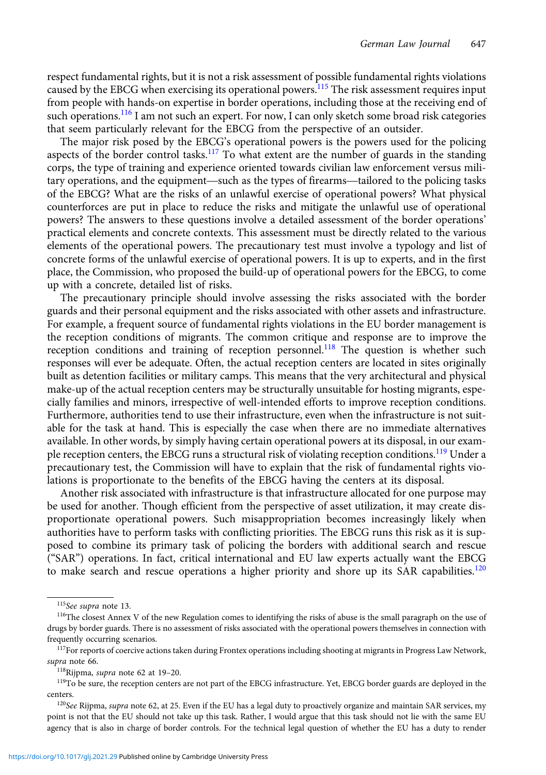respect fundamental rights, but it is not a risk assessment of possible fundamental rights violations caused by the EBCG when exercising its operational powers.<sup>115</sup> The risk assessment requires input from people with hands-on expertise in border operations, including those at the receiving end of such operations.<sup>116</sup> I am not such an expert. For now, I can only sketch some broad risk categories that seem particularly relevant for the EBCG from the perspective of an outsider.

The major risk posed by the EBCG's operational powers is the powers used for the policing aspects of the border control tasks.<sup>117</sup> To what extent are the number of guards in the standing corps, the type of training and experience oriented towards civilian law enforcement versus military operations, and the equipment—such as the types of firearms—tailored to the policing tasks of the EBCG? What are the risks of an unlawful exercise of operational powers? What physical counterforces are put in place to reduce the risks and mitigate the unlawful use of operational powers? The answers to these questions involve a detailed assessment of the border operations' practical elements and concrete contexts. This assessment must be directly related to the various elements of the operational powers. The precautionary test must involve a typology and list of concrete forms of the unlawful exercise of operational powers. It is up to experts, and in the first place, the Commission, who proposed the build-up of operational powers for the EBCG, to come up with a concrete, detailed list of risks.

The precautionary principle should involve assessing the risks associated with the border guards and their personal equipment and the risks associated with other assets and infrastructure. For example, a frequent source of fundamental rights violations in the EU border management is the reception conditions of migrants. The common critique and response are to improve the reception conditions and training of reception personnel.<sup>118</sup> The question is whether such responses will ever be adequate. Often, the actual reception centers are located in sites originally built as detention facilities or military camps. This means that the very architectural and physical make-up of the actual reception centers may be structurally unsuitable for hosting migrants, especially families and minors, irrespective of well-intended efforts to improve reception conditions. Furthermore, authorities tend to use their infrastructure, even when the infrastructure is not suitable for the task at hand. This is especially the case when there are no immediate alternatives available. In other words, by simply having certain operational powers at its disposal, in our example reception centers, the EBCG runs a structural risk of violating reception conditions.<sup>119</sup> Under a precautionary test, the Commission will have to explain that the risk of fundamental rights violations is proportionate to the benefits of the EBCG having the centers at its disposal.

Another risk associated with infrastructure is that infrastructure allocated for one purpose may be used for another. Though efficient from the perspective of asset utilization, it may create disproportionate operational powers. Such misappropriation becomes increasingly likely when authorities have to perform tasks with conflicting priorities. The EBCG runs this risk as it is supposed to combine its primary task of policing the borders with additional search and rescue ("SAR") operations. In fact, critical international and EU law experts actually want the EBCG to make search and rescue operations a higher priority and shore up its SAR capabilities.<sup>120</sup>

<sup>115</sup>See supra note 13.

<sup>&</sup>lt;sup>116</sup>The closest Annex V of the new Regulation comes to identifying the risks of abuse is the small paragraph on the use of drugs by border guards. There is no assessment of risks associated with the operational powers themselves in connection with frequently occurring scenarios.

<sup>&</sup>lt;sup>117</sup>For reports of coercive actions taken during Frontex operations including shooting at migrants in Progress Law Network, supra note 66.

<sup>118</sup>Rijpma, supra note 62 at 19–20.

<sup>&</sup>lt;sup>119</sup>To be sure, the reception centers are not part of the EBCG infrastructure. Yet, EBCG border guards are deployed in the centers.

 $120$ See Rijpma, supra note 62, at 25. Even if the EU has a legal duty to proactively organize and maintain SAR services, my point is not that the EU should not take up this task. Rather, I would argue that this task should not lie with the same EU agency that is also in charge of border controls. For the technical legal question of whether the EU has a duty to render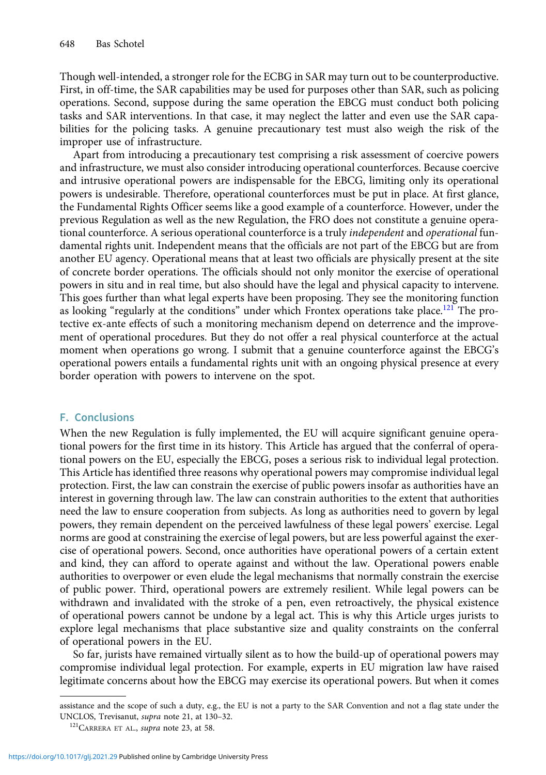Though well-intended, a stronger role for the ECBG in SAR may turn out to be counterproductive. First, in off-time, the SAR capabilities may be used for purposes other than SAR, such as policing operations. Second, suppose during the same operation the EBCG must conduct both policing tasks and SAR interventions. In that case, it may neglect the latter and even use the SAR capabilities for the policing tasks. A genuine precautionary test must also weigh the risk of the improper use of infrastructure.

Apart from introducing a precautionary test comprising a risk assessment of coercive powers and infrastructure, we must also consider introducing operational counterforces. Because coercive and intrusive operational powers are indispensable for the EBCG, limiting only its operational powers is undesirable. Therefore, operational counterforces must be put in place. At first glance, the Fundamental Rights Officer seems like a good example of a counterforce. However, under the previous Regulation as well as the new Regulation, the FRO does not constitute a genuine operational counterforce. A serious operational counterforce is a truly independent and operational fundamental rights unit. Independent means that the officials are not part of the EBCG but are from another EU agency. Operational means that at least two officials are physically present at the site of concrete border operations. The officials should not only monitor the exercise of operational powers in situ and in real time, but also should have the legal and physical capacity to intervene. This goes further than what legal experts have been proposing. They see the monitoring function as looking "regularly at the conditions" under which Frontex operations take place.<sup>121</sup> The protective ex-ante effects of such a monitoring mechanism depend on deterrence and the improvement of operational procedures. But they do not offer a real physical counterforce at the actual moment when operations go wrong. I submit that a genuine counterforce against the EBCG's operational powers entails a fundamental rights unit with an ongoing physical presence at every border operation with powers to intervene on the spot.

#### F. Conclusions

When the new Regulation is fully implemented, the EU will acquire significant genuine operational powers for the first time in its history. This Article has argued that the conferral of operational powers on the EU, especially the EBCG, poses a serious risk to individual legal protection. This Article has identified three reasons why operational powers may compromise individual legal protection. First, the law can constrain the exercise of public powers insofar as authorities have an interest in governing through law. The law can constrain authorities to the extent that authorities need the law to ensure cooperation from subjects. As long as authorities need to govern by legal powers, they remain dependent on the perceived lawfulness of these legal powers' exercise. Legal norms are good at constraining the exercise of legal powers, but are less powerful against the exercise of operational powers. Second, once authorities have operational powers of a certain extent and kind, they can afford to operate against and without the law. Operational powers enable authorities to overpower or even elude the legal mechanisms that normally constrain the exercise of public power. Third, operational powers are extremely resilient. While legal powers can be withdrawn and invalidated with the stroke of a pen, even retroactively, the physical existence of operational powers cannot be undone by a legal act. This is why this Article urges jurists to explore legal mechanisms that place substantive size and quality constraints on the conferral of operational powers in the EU.

So far, jurists have remained virtually silent as to how the build-up of operational powers may compromise individual legal protection. For example, experts in EU migration law have raised legitimate concerns about how the EBCG may exercise its operational powers. But when it comes

assistance and the scope of such a duty, e.g., the EU is not a party to the SAR Convention and not a flag state under the UNCLOS, Trevisanut, supra note 21, at 130–32.

<sup>&</sup>lt;sup>121</sup>CARRERA ET AL., *supra* note 23, at 58.